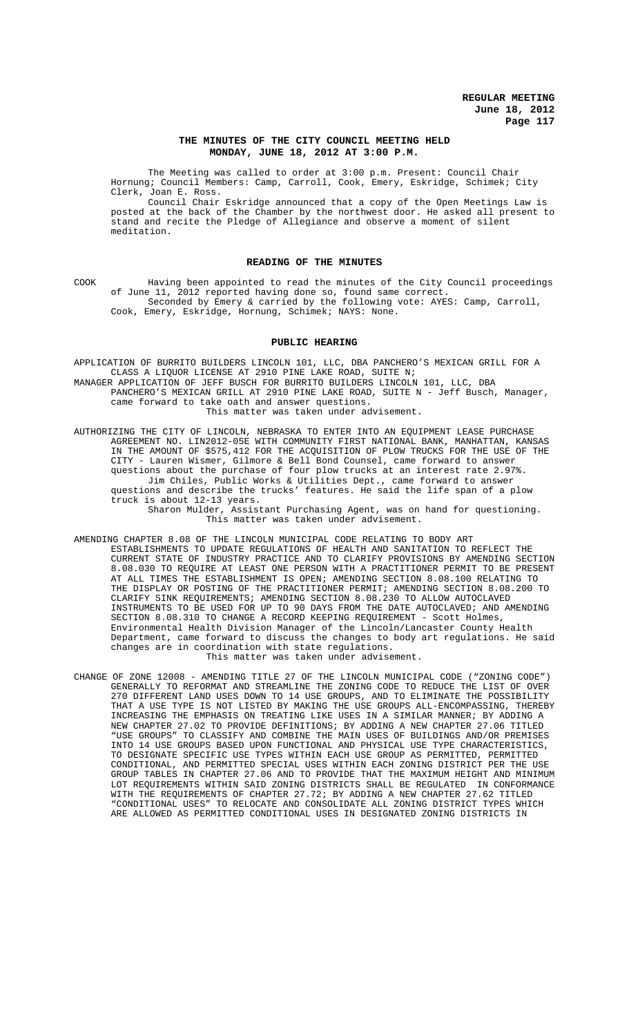## **THE MINUTES OF THE CITY COUNCIL MEETING HELD MONDAY, JUNE 18, 2012 AT 3:00 P.M.**

The Meeting was called to order at 3:00 p.m. Present: Council Chair Hornung; Council Members: Camp, Carroll, Cook, Emery, Eskridge, Schimek; City Clerk, Joan E. Ross.

Council Chair Eskridge announced that a copy of the Open Meetings Law is posted at the back of the Chamber by the northwest door. He asked all present to stand and recite the Pledge of Allegiance and observe a moment of silent meditation.

## **READING OF THE MINUTES**

COOK Having been appointed to read the minutes of the City Council proceedings of June 11, 2012 reported having done so, found same correct. Seconded by Emery & carried by the following vote: AYES: Camp, Carroll, Cook, Emery, Eskridge, Hornung, Schimek; NAYS: None.

## **PUBLIC HEARING**

APPLICATION OF BURRITO BUILDERS LINCOLN 101, LLC, DBA PANCHERO'S MEXICAN GRILL FOR A CLASS A LIQUOR LICENSE AT 2910 PINE LAKE ROAD, SUITE N; MANAGER APPLICATION OF JEFF BUSCH FOR BURRITO BUILDERS LINCOLN 101, LLC, DBA PANCHERO'S MEXICAN GRILL AT 2910 PINE LAKE ROAD, SUITE N - Jeff Busch, Manager, came forward to take oath and answer questions. This matter was taken under advisement.

- AUTHORIZING THE CITY OF LINCOLN, NEBRASKA TO ENTER INTO AN EQUIPMENT LEASE PURCHASE AGREEMENT NO. LIN2012-05E WITH COMMUNITY FIRST NATIONAL BANK, MANHATTAN, KANSAS IN THE AMOUNT OF \$575,412 FOR THE ACQUISITION OF PLOW TRUCKS FOR THE USE OF THE CITY - Lauren Wismer, Gilmore & Bell Bond Counsel, came forward to answer questions about the purchase of four plow trucks at an interest rate 2.97%. Jim Chiles, Public Works & Utilities Dept., came forward to answer questions and describe the trucks' features. He said the life span of a plow truck is about 12-13 years. Sharon Mulder, Assistant Purchasing Agent, was on hand for questioning. This matter was taken under advisement.
- AMENDING CHAPTER 8.08 OF THE LINCOLN MUNICIPAL CODE RELATING TO BODY ART ESTABLISHMENTS TO UPDATE REGULATIONS OF HEALTH AND SANITATION TO REFLECT THE CURRENT STATE OF INDUSTRY PRACTICE AND TO CLARIFY PROVISIONS BY AMENDING SECTION 8.08.030 TO REQUIRE AT LEAST ONE PERSON WITH A PRACTITIONER PERMIT TO BE PRESENT AT ALL TIMES THE ESTABLISHMENT IS OPEN; AMENDING SECTION 8.08.100 RELATING TO THE DISPLAY OR POSTING OF THE PRACTITIONER PERMIT; AMENDING SECTION 8.08.200 TO CLARIFY SINK REQUIREMENTS; AMENDING SECTION 8.08.230 TO ALLOW AUTOCLAVED INSTRUMENTS TO BE USED FOR UP TO 90 DAYS FROM THE DATE AUTOCLAVED; AND AMENDING SECTION 8.08.310 TO CHANGE A RECORD KEEPING REQUIREMENT - Scott Holmes, Environmental Health Division Manager of the Lincoln/Lancaster County Health Department, came forward to discuss the changes to body art regulations. He said changes are in coordination with state regulations. This matter was taken under advisement.
- CHANGE OF ZONE 12008 AMENDING TITLE 27 OF THE LINCOLN MUNICIPAL CODE ("ZONING CODE") GENERALLY TO REFORMAT AND STREAMLINE THE ZONING CODE TO REDUCE THE LIST OF OVER 270 DIFFERENT LAND USES DOWN TO 14 USE GROUPS, AND TO ELIMINATE THE POSSIBILITY THAT A USE TYPE IS NOT LISTED BY MAKING THE USE GROUPS ALL-ENCOMPASSING, THEREBY INCREASING THE EMPHASIS ON TREATING LIKE USES IN A SIMILAR MANNER; BY ADDING A NEW CHAPTER 27.02 TO PROVIDE DEFINITIONS; BY ADDING A NEW CHAPTER 27.06 TITLED "USE GROUPS" TO CLASSIFY AND COMBINE THE MAIN USES OF BUILDINGS AND/OR PREMISES INTO 14 USE GROUPS BASED UPON FUNCTIONAL AND PHYSICAL USE TYPE CHARACTERISTICS, TO DESIGNATE SPECIFIC USE TYPES WITHIN EACH USE GROUP AS PERMITTED, PERMITTED CONDITIONAL, AND PERMITTED SPECIAL USES WITHIN EACH ZONING DISTRICT PER THE USE GROUP TABLES IN CHAPTER 27.06 AND TO PROVIDE THAT THE MAXIMUM HEIGHT AND MINIMUM LOT REQUIREMENTS WITHIN SAID ZONING DISTRICTS SHALL BE REGULATED IN CONFORMANCE WITH THE REQUIREMENTS OF CHAPTER 27.72; BY ADDING A NEW CHAPTER 27.62 TITLED "CONDITIONAL USES" TO RELOCATE AND CONSOLIDATE ALL ZONING DISTRICT TYPES WHICH ARE ALLOWED AS PERMITTED CONDITIONAL USES IN DESIGNATED ZONING DISTRICTS IN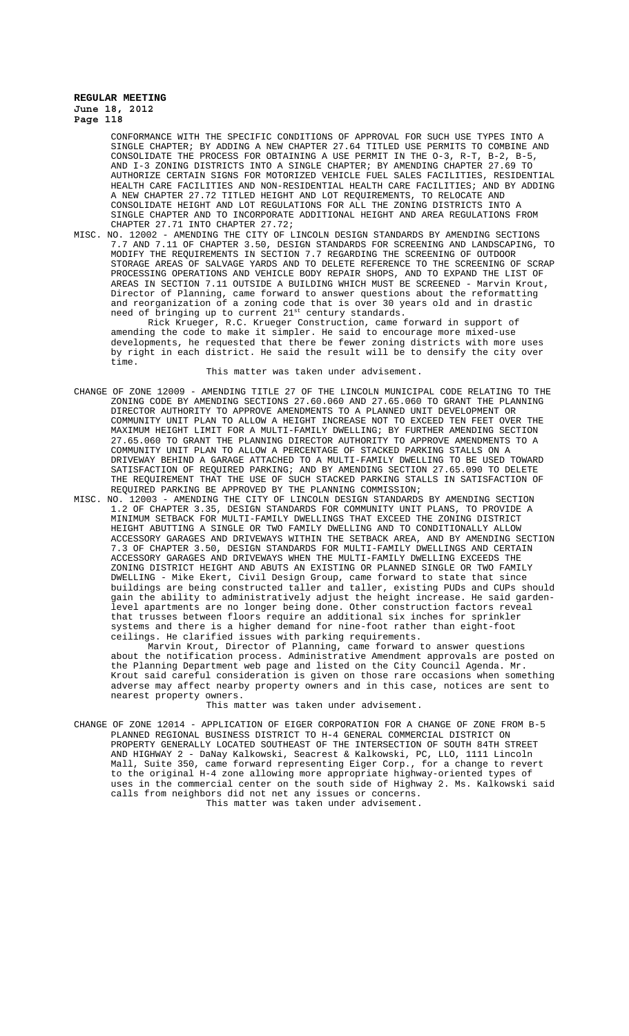CONFORMANCE WITH THE SPECIFIC CONDITIONS OF APPROVAL FOR SUCH USE TYPES INTO A SINGLE CHAPTER; BY ADDING A NEW CHAPTER 27.64 TITLED USE PERMITS TO COMBINE AND CONSOLIDATE THE PROCESS FOR OBTAINING A USE PERMIT IN THE O-3, R-T, B-2, B-5, AND I-3 ZONING DISTRICTS INTO A SINGLE CHAPTER; BY AMENDING CHAPTER 27.69 TO AUTHORIZE CERTAIN SIGNS FOR MOTORIZED VEHICLE FUEL SALES FACILITIES, RESIDENTIAL HEALTH CARE FACILITIES AND NON-RESIDENTIAL HEALTH CARE FACILITIES; AND BY ADDING A NEW CHAPTER 27.72 TITLED HEIGHT AND LOT REQUIREMENTS, TO RELOCATE AND CONSOLIDATE HEIGHT AND LOT REGULATIONS FOR ALL THE ZONING DISTRICTS INTO A SINGLE CHAPTER AND TO INCORPORATE ADDITIONAL HEIGHT AND AREA REGULATIONS FROM CHAPTER 27.71 INTO CHAPTER 27.72;

MISC. NO. 12002 - AMENDING THE CITY OF LINCOLN DESIGN STANDARDS BY AMENDING SECTIONS 7.7 AND 7.11 OF CHAPTER 3.50, DESIGN STANDARDS FOR SCREENING AND LANDSCAPING, TO MODIFY THE REQUIREMENTS IN SECTION 7.7 REGARDING THE SCREENING OF OUTDOOR STORAGE AREAS OF SALVAGE YARDS AND TO DELETE REFERENCE TO THE SCREENING OF SCRAP PROCESSING OPERATIONS AND VEHICLE BODY REPAIR SHOPS, AND TO EXPAND THE LIST OF AREAS IN SECTION 7.11 OUTSIDE A BUILDING WHICH MUST BE SCREENED - Marvin Krout, Director of Planning, came forward to answer questions about the reformatting and reorganization of a zoning code that is over 30 years old and in drastic need of bringing up to current 21st century standards.

Rick Krueger, R.C. Krueger Construction, came forward in support of amending the code to make it simpler. He said to encourage more mixed-use developments, he requested that there be fewer zoning districts with more uses by right in each district. He said the result will be to densify the city over time.

#### This matter was taken under advisement.

- CHANGE OF ZONE 12009 AMENDING TITLE 27 OF THE LINCOLN MUNICIPAL CODE RELATING TO THE ZONING CODE BY AMENDING SECTIONS 27.60.060 AND 27.65.060 TO GRANT THE PLANNING DIRECTOR AUTHORITY TO APPROVE AMENDMENTS TO A PLANNED UNIT DEVELOPMENT OR COMMUNITY UNIT PLAN TO ALLOW A HEIGHT INCREASE NOT TO EXCEED TEN FEET OVER THE MAXIMUM HEIGHT LIMIT FOR A MULTI-FAMILY DWELLING; BY FURTHER AMENDING SECTION 27.65.060 TO GRANT THE PLANNING DIRECTOR AUTHORITY TO APPROVE AMENDMENTS TO A COMMUNITY UNIT PLAN TO ALLOW A PERCENTAGE OF STACKED PARKING STALLS ON A DRIVEWAY BEHIND A GARAGE ATTACHED TO A MULTI-FAMILY DWELLING TO BE USED TOWARD SATISFACTION OF REQUIRED PARKING; AND BY AMENDING SECTION 27.65.090 TO DELETE THE REQUIREMENT THAT THE USE OF SUCH STACKED PARKING STALLS IN SATISFACTION OF REQUIRED PARKING BE APPROVED BY THE PLANNING COMMISSION;
- MISC. NO. 12003 AMENDING THE CITY OF LINCOLN DESIGN STANDARDS BY AMENDING SECTION 1.2 OF CHAPTER 3.35, DESIGN STANDARDS FOR COMMUNITY UNIT PLANS, TO PROVIDE A MINIMUM SETBACK FOR MULTI-FAMILY DWELLINGS THAT EXCEED THE ZONING DISTRICT HEIGHT ABUTTING A SINGLE OR TWO FAMILY DWELLING AND TO CONDITIONALLY ALLOW ACCESSORY GARAGES AND DRIVEWAYS WITHIN THE SETBACK AREA, AND BY AMENDING SECTION 7.3 OF CHAPTER 3.50, DESIGN STANDARDS FOR MULTI-FAMILY DWELLINGS AND CERTAIN ACCESSORY GARAGES AND DRIVEWAYS WHEN THE MULTI-FAMILY DWELLING EXCEEDS THE ZONING DISTRICT HEIGHT AND ABUTS AN EXISTING OR PLANNED SINGLE OR TWO FAMILY DWELLING - Mike Ekert, Civil Design Group, came forward to state that since buildings are being constructed taller and taller, existing PUDs and CUPs should gain the ability to administratively adjust the height increase. He said gardenlevel apartments are no longer being done. Other construction factors reveal that trusses between floors require an additional six inches for sprinkler systems and there is a higher demand for nine-foot rather than eight-foot ceilings. He clarified issues with parking requirements.

Marvin Krout, Director of Planning, came forward to answer questions about the notification process. Administrative Amendment approvals are posted on the Planning Department web page and listed on the City Council Agenda. Mr. Krout said careful consideration is given on those rare occasions when something adverse may affect nearby property owners and in this case, notices are sent to nearest property owners.

#### This matter was taken under advisement.

CHANGE OF ZONE 12014 - APPLICATION OF EIGER CORPORATION FOR A CHANGE OF ZONE FROM B-5 PLANNED REGIONAL BUSINESS DISTRICT TO H-4 GENERAL COMMERCIAL DISTRICT ON PROPERTY GENERALLY LOCATED SOUTHEAST OF THE INTERSECTION OF SOUTH 84TH STREET AND HIGHWAY 2 - DaNay Kalkowski, Seacrest & Kalkowski, PC, LLO, 1111 Lincoln Mall, Suite 350, came forward representing Eiger Corp., for a change to revert to the original H-4 zone allowing more appropriate highway-oriented types of uses in the commercial center on the south side of Highway 2. Ms. Kalkowski said calls from neighbors did not net any issues or concerns. This matter was taken under advisement.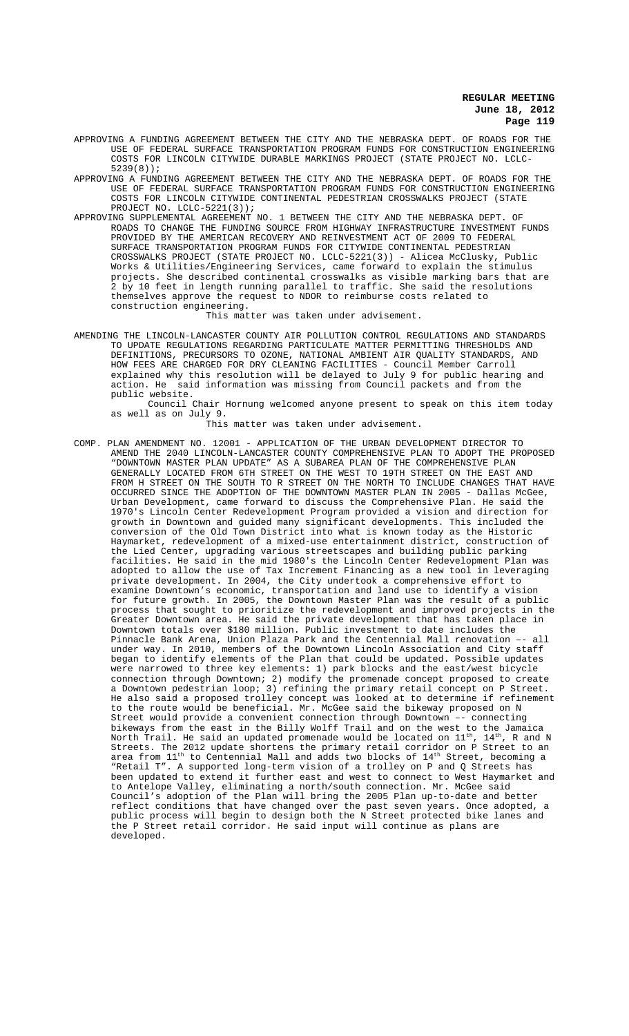- APPROVING A FUNDING AGREEMENT BETWEEN THE CITY AND THE NEBRASKA DEPT. OF ROADS FOR THE USE OF FEDERAL SURFACE TRANSPORTATION PROGRAM FUNDS FOR CONSTRUCTION ENGINEERING COSTS FOR LINCOLN CITYWIDE DURABLE MARKINGS PROJECT (STATE PROJECT NO. LCLC-5239(8));
- APPROVING A FUNDING AGREEMENT BETWEEN THE CITY AND THE NEBRASKA DEPT. OF ROADS FOR THE USE OF FEDERAL SURFACE TRANSPORTATION PROGRAM FUNDS FOR CONSTRUCTION ENGINEERING COSTS FOR LINCOLN CITYWIDE CONTINENTAL PEDESTRIAN CROSSWALKS PROJECT (STATE PROJECT NO. LCLC-5221(3));<br>APPROVING SUPPLEMENTAL AGREEMENT NO.
- 1 BETWEEN THE CITY AND THE NEBRASKA DEPT. OF ROADS TO CHANGE THE FUNDING SOURCE FROM HIGHWAY INFRASTRUCTURE INVESTMENT FUNDS PROVIDED BY THE AMERICAN RECOVERY AND REINVESTMENT ACT OF 2009 TO FEDERAL SURFACE TRANSPORTATION PROGRAM FUNDS FOR CITYWIDE CONTINENTAL PEDESTRIAN CROSSWALKS PROJECT (STATE PROJECT NO. LCLC-5221(3)) - Alicea McClusky, Public Works & Utilities/Engineering Services, came forward to explain the stimulus projects. She described continental crosswalks as visible marking bars that are 2 by 10 feet in length running parallel to traffic. She said the resolutions themselves approve the request to NDOR to reimburse costs related to construction engineering.

This matter was taken under advisement.

AMENDING THE LINCOLN-LANCASTER COUNTY AIR POLLUTION CONTROL REGULATIONS AND STANDARDS TO UPDATE REGULATIONS REGARDING PARTICULATE MATTER PERMITTING THRESHOLDS AND DEFINITIONS, PRECURSORS TO OZONE, NATIONAL AMBIENT AIR QUALITY STANDARDS, AND HOW FEES ARE CHARGED FOR DRY CLEANING FACILITIES - Council Member Carroll explained why this resolution will be delayed to July 9 for public hearing and action. He said information was missing from Council packets and from the public website.

Council Chair Hornung welcomed anyone present to speak on this item today as well as on July 9.

This matter was taken under advisement.

COMP. PLAN AMENDMENT NO. 12001 - APPLICATION OF THE URBAN DEVELOPMENT DIRECTOR TO AMEND THE 2040 LINCOLN-LANCASTER COUNTY COMPREHENSIVE PLAN TO ADOPT THE PROPOSED "DOWNTOWN MASTER PLAN UPDATE" AS A SUBAREA PLAN OF THE COMPREHENSIVE PLAN GENERALLY LOCATED FROM 6TH STREET ON THE WEST TO 19TH STREET ON THE EAST AND FROM H STREET ON THE SOUTH TO R STREET ON THE NORTH TO INCLUDE CHANGES THAT HAVE OCCURRED SINCE THE ADOPTION OF THE DOWNTOWN MASTER PLAN IN 2005 - Dallas McGee, Urban Development, came forward to discuss the Comprehensive Plan. He said the 1970's Lincoln Center Redevelopment Program provided a vision and direction for growth in Downtown and guided many significant developments. This included the conversion of the Old Town District into what is known today as the Historic Haymarket, redevelopment of a mixed-use entertainment district, construction of the Lied Center, upgrading various streetscapes and building public parking facilities. He said in the mid 1980's the Lincoln Center Redevelopment Plan was adopted to allow the use of Tax Increment Financing as a new tool in leveraging private development. In 2004, the City undertook a comprehensive effort to examine Downtown's economic, transportation and land use to identify a vision for future growth. In 2005, the Downtown Master Plan was the result of a public process that sought to prioritize the redevelopment and improved projects in the Greater Downtown area. He said the private development that has taken place in Downtown totals over \$180 million. Public investment to date includes the Pinnacle Bank Arena, Union Plaza Park and the Centennial Mall renovation –- all under way. In 2010, members of the Downtown Lincoln Association and City staff began to identify elements of the Plan that could be updated. Possible updates were narrowed to three key elements: 1) park blocks and the east/west bicycle connection through Downtown; 2) modify the promenade concept proposed to create a Downtown pedestrian loop; 3) refining the primary retail concept on P Street. He also said a proposed trolley concept was looked at to determine if refinement to the route would be beneficial. Mr. McGee said the bikeway proposed on N<br>Street would provide a convenient connection through Downtown -- connecting Street would provide a convenient connection through Downtown -bikeways from the east in the Billy Wolff Trail and on the west to the Jamaica North Trail. He said an updated promenade would be located on  $11^{th}$ ,  $14^{th}$ , R and N Streets. The 2012 update shortens the primary retail corridor on P Street to an area from  $11^{\text{th}}$  to Centennial Mall and adds two blocks of  $14^{\text{th}}$  Street, becoming a "Retail T". A supported long-term vision of a trolley on P and Q Streets has been updated to extend it further east and west to connect to West Haymarket and to Antelope Valley, eliminating a north/south connection. Mr. McGee said Council's adoption of the Plan will bring the 2005 Plan up-to-date and better reflect conditions that have changed over the past seven years. Once adopted, a public process will begin to design both the N Street protected bike lanes and the P Street retail corridor. He said input will continue as plans are developed.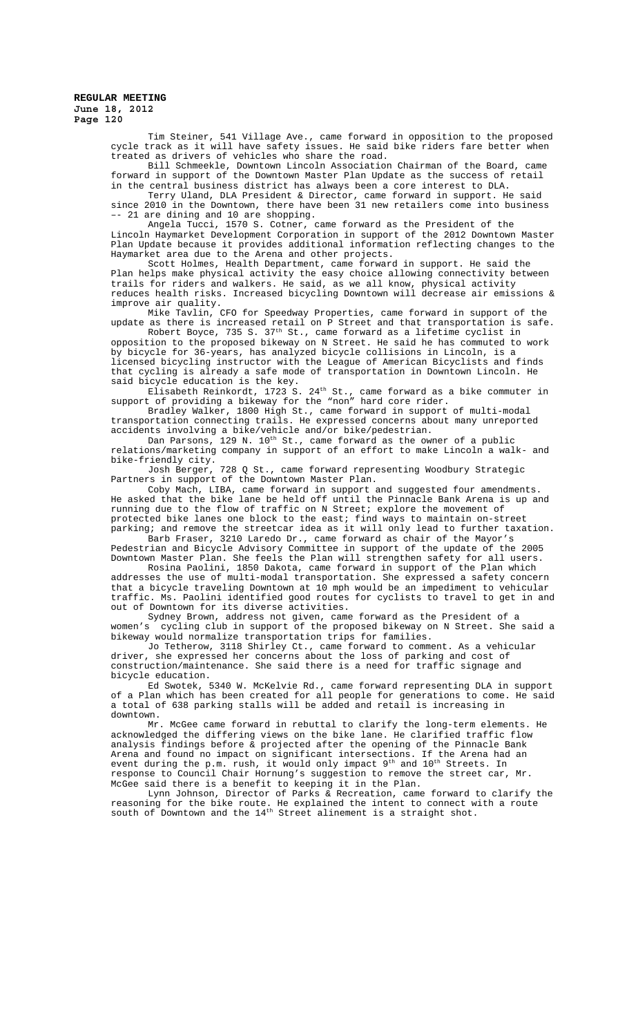> Tim Steiner, 541 Village Ave., came forward in opposition to the proposed cycle track as it will have safety issues. He said bike riders fare better when treated as drivers of vehicles who share the road.

Bill Schmeekle, Downtown Lincoln Association Chairman of the Board, came forward in support of the Downtown Master Plan Update as the success of retail in the central business district has always been a core interest to DLA.

Terry Uland, DLA President & Director, came forward in support. He said since 2010 in the Downtown, there have been 31 new retailers come into business –- 21 are dining and 10 are shopping.

Angela Tucci, 1570 S. Cotner, came forward as the President of the Lincoln Haymarket Development Corporation in support of the 2012 Downtown Master Plan Update because it provides additional information reflecting changes to the Haymarket area due to the Arena and other projects.

Scott Holmes, Health Department, came forward in support. He said the Plan helps make physical activity the easy choice allowing connectivity between trails for riders and walkers. He said, as we all know, physical activity reduces health risks. Increased bicycling Downtown will decrease air emissions & improve air quality.

Mike Tavlin, CFO for Speedway Properties, came forward in support of the update as there is increased retail on P Street and that transportation is safe.

Robert Boyce,  $735$  S.  $37^{\rm th}$  St., came forward as a lifetime cyclist in opposition to the proposed bikeway on N Street. He said he has commuted to work by bicycle for 36-years, has analyzed bicycle collisions in Lincoln, is a licensed bicycling instructor with the League of American Bicyclists and finds that cycling is already a safe mode of transportation in Downtown Lincoln. He said bicycle education is the key.

Elisabeth Reinkordt, 1723 S. 24 $^{\rm th}$  St., came forward as a bike commuter in support of providing a bikeway for the "non" hard core rider.

Bradley Walker, 1800 High St., came forward in support of multi-modal transportation connecting trails. He expressed concerns about many unreported accidents involving a bike/vehicle and/or bike/pedestrian.

Dan Parsons,  $129$  N.  $10^{th}$  St., came forward as the owner of a public relations/marketing company in support of an effort to make Lincoln a walk- and bike-friendly city.

Josh Berger, 728 Q St., came forward representing Woodbury Strategic Partners in support of the Downtown Master Plan.

Coby Mach, LIBA, came forward in support and suggested four amendments. He asked that the bike lane be held off until the Pinnacle Bank Arena is up and running due to the flow of traffic on N Street; explore the movement of protected bike lanes one block to the east; find ways to maintain on-street parking; and remove the streetcar idea as it will only lead to further taxation.<br>Barb Fraser, 3210 Laredo Dr., came forward as chair of the Mayor's

Barb Fraser, 3210 Laredo Dr., came forward as chair of the Mayor Pedestrian and Bicycle Advisory Committee in support of the update of the 2005 Downtown Master Plan. She feels the Plan will strengthen safety for all users.

Rosina Paolini, 1850 Dakota, came forward in support of the Plan which addresses the use of multi-modal transportation. She expressed a safety concern that a bicycle traveling Downtown at 10 mph would be an impediment to vehicular traffic. Ms. Paolini identified good routes for cyclists to travel to get in and out of Downtown for its diverse activities.

Sydney Brown, address not given, came forward as the President of a women's cycling club in support of the proposed bikeway on N Street. She said a bikeway would normalize transportation trips for families.

Jo Tetherow, 3118 Shirley Ct., came forward to comment. As a vehicular driver, she expressed her concerns about the loss of parking and cost of construction/maintenance. She said there is a need for traffic signage and bicycle education.

Ed Swotek, 5340 W. McKelvie Rd., came forward representing DLA in support of a Plan which has been created for all people for generations to come. He said a total of 638 parking stalls will be added and retail is increasing in downtown.

Mr. McGee came forward in rebuttal to clarify the long-term elements. He acknowledged the differing views on the bike lane. He clarified traffic flow analysis findings before & projected after the opening of the Pinnacle Bank Arena and found no impact on significant intersections. If the Arena had an event during the p.m. rush, it would only impact  $9^\text{th}$  and  $10^\text{th}$  Streets. In response to Council Chair Hornung's suggestion to remove the street car, Mr. McGee said there is a benefit to keeping it in the Plan.

Lynn Johnson, Director of Parks & Recreation, came forward to clarify the reasoning for the bike route. He explained the intent to connect with a route south of Downtown and the 14<sup>th</sup> Street alinement is a straight shot.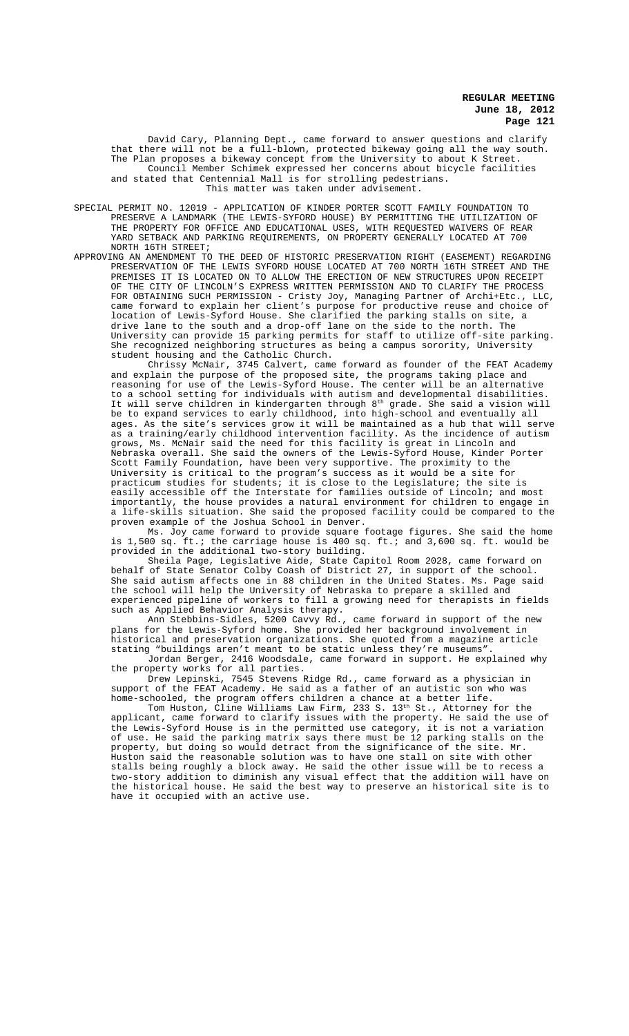David Cary, Planning Dept., came forward to answer questions and clarify that there will not be a full-blown, protected bikeway going all the way south. The Plan proposes a bikeway concept from the University to about K Street. Council Member Schimek expressed her concerns about bicycle facilities and stated that Centennial Mall is for strolling pedestrians. This matter was taken under advisement.

SPECIAL PERMIT NO. 12019 - APPLICATION OF KINDER PORTER SCOTT FAMILY FOUNDATION TO PRESERVE A LANDMARK (THE LEWIS-SYFORD HOUSE) BY PERMITTING THE UTILIZATION OF THE PROPERTY FOR OFFICE AND EDUCATIONAL USES, WITH REQUESTED WAIVERS OF YARD SETBACK AND PARKING REQUIREMENTS, ON PROPERTY GENERALLY LOCATED AT 700 NORTH 16TH STREET;

APPROVING AN AMENDMENT TO THE DEED OF HISTORIC PRESERVATION RIGHT (EASEMENT) REGARDING PRESERVATION OF THE LEWIS SYFORD HOUSE LOCATED AT 700 NORTH 16TH STREET AND THE PREMISES IT IS LOCATED ON TO ALLOW THE ERECTION OF NEW STRUCTURES UPON RECEIPT OF THE CITY OF LINCOLN'S EXPRESS WRITTEN PERMISSION AND TO CLARIFY THE PROCESS FOR OBTAINING SUCH PERMISSION - Cristy Joy, Managing Partner of Archi+Etc., LLC, came forward to explain her client's purpose for productive reuse and choice of location of Lewis-Syford House. She clarified the parking stalls on site, a drive lane to the south and a drop-off lane on the side to the north. The University can provide 15 parking permits for staff to utilize off-site parking. She recognized neighboring structures as being a campus sorority, University student housing and the Catholic Church.

Chrissy McNair, 3745 Calvert, came forward as founder of the FEAT Academy and explain the purpose of the proposed site, the programs taking place and reasoning for use of the Lewis-Syford House. The center will be an alternative to a school setting for individuals with autism and developmental disabilities. It will serve children in kindergarten through 8<sup>th</sup> grade. She said a vision will be to expand services to early childhood, into high-school and eventually all ages. As the site's services grow it will be maintained as a hub that will serve as a training/early childhood intervention facility. As the incidence of autism grows, Ms. McNair said the need for this facility is great in Lincoln and Nebraska overall. She said the owners of the Lewis-Syford House, Kinder Porter Scott Family Foundation, have been very supportive. The proximity to the University is critical to the program's success as it would be a site for practicum studies for students; it is close to the Legislature; the site is easily accessible off the Interstate for families outside of Lincoln; and most importantly, the house provides a natural environment for children to engage in a life-skills situation. She said the proposed facility could be compared to the proven example of the Joshua School in Denver.

Ms. Joy came forward to provide square footage figures. She said the home is 1,500 sq. ft.; the carriage house is 400 sq. ft.; and 3,600 sq. ft. would be provided in the additional two-story building.

Sheila Page, Legislative Aide, State Capitol Room 2028, came forward on behalf of State Senator Colby Coash of District 27, in support of the school. She said autism affects one in 88 children in the United States. Ms. Page said the school will help the University of Nebraska to prepare a skilled and experienced pipeline of workers to fill a growing need for therapists in fields such as Applied Behavior Analysis therapy.

Ann Stebbins-Sidles, 5200 Cavvy Rd., came forward in support of the new plans for the Lewis-Syford home. She provided her background involvement in historical and preservation organizations. She quoted from a magazine article stating "buildings aren't meant to be static unless they're museums". "buildings aren't meant to be static unless they're museums".

Jordan Berger, 2416 Woodsdale, came forward in support. He explained why the property works for all parties.

Drew Lepinski, 7545 Stevens Ridge Rd., came forward as a physician in support of the FEAT Academy. He said as a father of an autistic son who was home-schooled, the program offers children a chance at a better life.

Tom Huston, Cline Williams Law Firm, 233 S. 13<sup>th</sup> St., Attorney for the applicant, came forward to clarify issues with the property. He said the use of the Lewis-Syford House is in the permitted use category, it is not a variation of use. He said the parking matrix says there must be 12 parking stalls on the property, but doing so would detract from the significance of the site. Mr. Huston said the reasonable solution was to have one stall on site with other stalls being roughly a block away. He said the other issue will be to recess a two-story addition to diminish any visual effect that the addition will have on the historical house. He said the best way to preserve an historical site is to have it occupied with an active use.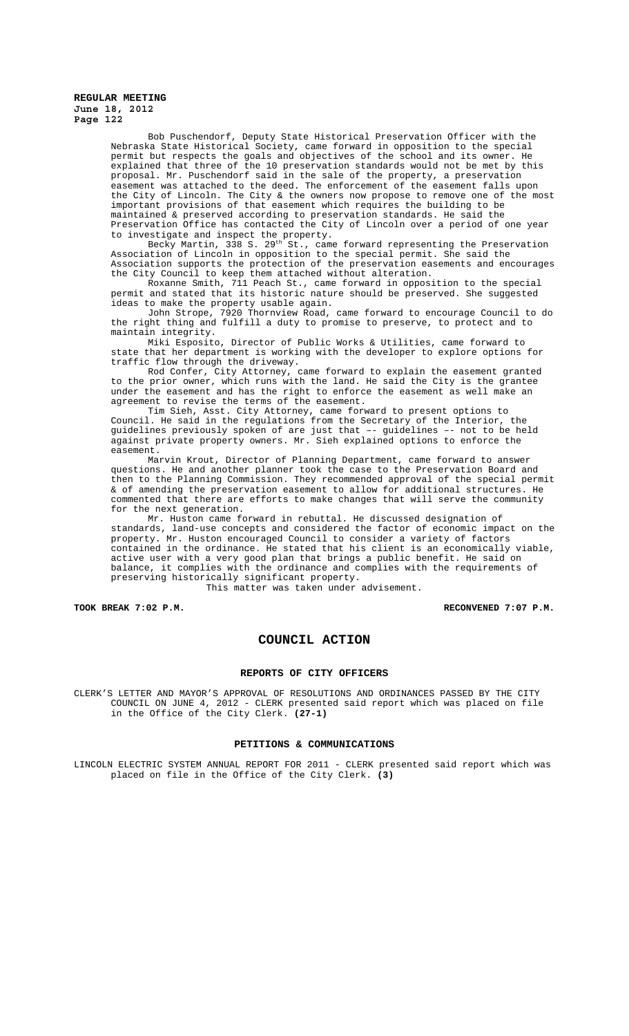Bob Puschendorf, Deputy State Historical Preservation Officer with the Nebraska State Historical Society, came forward in opposition to the special permit but respects the goals and objectives of the school and its owner. He explained that three of the 10 preservation standards would not be met by this proposal. Mr. Puschendorf said in the sale of the property, a preservation easement was attached to the deed. The enforcement of the easement falls upon the City of Lincoln. The City & the owners now propose to remove one of the most important provisions of that easement which requires the building to be maintained & preserved according to preservation standards. He said the Preservation Office has contacted the City of Lincoln over a period of one year to investigate and inspect the property.

Becky Martin, 338 S. 29<sup>th</sup> St., came forward representing the Preservation Association of Lincoln in opposition to the special permit. She said the Association supports the protection of the preservation easements and encourages the City Council to keep them attached without alteration.

Roxanne Smith, 711 Peach St., came forward in opposition to the special permit and stated that its historic nature should be preserved. She suggested .<br>ideas to make the property usable again.

John Strope, 7920 Thornview Road, came forward to encourage Council to do the right thing and fulfill a duty to promise to preserve, to protect and to maintain integrity.

Miki Esposito, Director of Public Works & Utilities, came forward to state that her department is working with the developer to explore options for

traffic flow through the driveway.<br>Rod Confer, City Attorney, o came forward to explain the easement granted to the prior owner, which runs with the land. He said the City is the grantee under the easement and has the right to enforce the easement as well make an agreement to revise the terms of the easement.

Tim Sieh, Asst. City Attorney, came forward to present options to Council. He said in the regulations from the Secretary of the Interior, the guidelines previously spoken of are just that –- guidelines –- not to be held against private property owners. Mr. Sieh explained options to enforce the easement.

Marvin Krout, Director of Planning Department, came forward to answer questions. He and another planner took the case to the Preservation Board and then to the Planning Commission. They recommended approval of the special permit & of amending the preservation easement to allow for additional structures. He commented that there are efforts to make changes that will serve the community for the next generation.

Mr. Huston came forward in rebuttal. He discussed designation of standards, land-use concepts and considered the factor of economic impact on the property. Mr. Huston encouraged Council to consider a variety of factors contained in the ordinance. He stated that his client is an economically viable, active user with a very good plan that brings a public benefit. He said on balance, it complies with the ordinance and complies with the requirements of preserving historically significant property. This matter was taken under advisement.

**TOOK BREAK 7:02 P.M. RECONVENED 7:07 P.M.**

# **COUNCIL ACTION**

#### **REPORTS OF CITY OFFICERS**

CLERK'S LETTER AND MAYOR'S APPROVAL OF RESOLUTIONS AND ORDINANCES PASSED BY THE CITY COUNCIL ON JUNE 4, 2012 - CLERK presented said report which was placed on file in the Office of the City Clerk. **(27-1)**

#### **PETITIONS & COMMUNICATIONS**

LINCOLN ELECTRIC SYSTEM ANNUAL REPORT FOR 2011 - CLERK presented said report which was placed on file in the Office of the City Clerk. **(3)**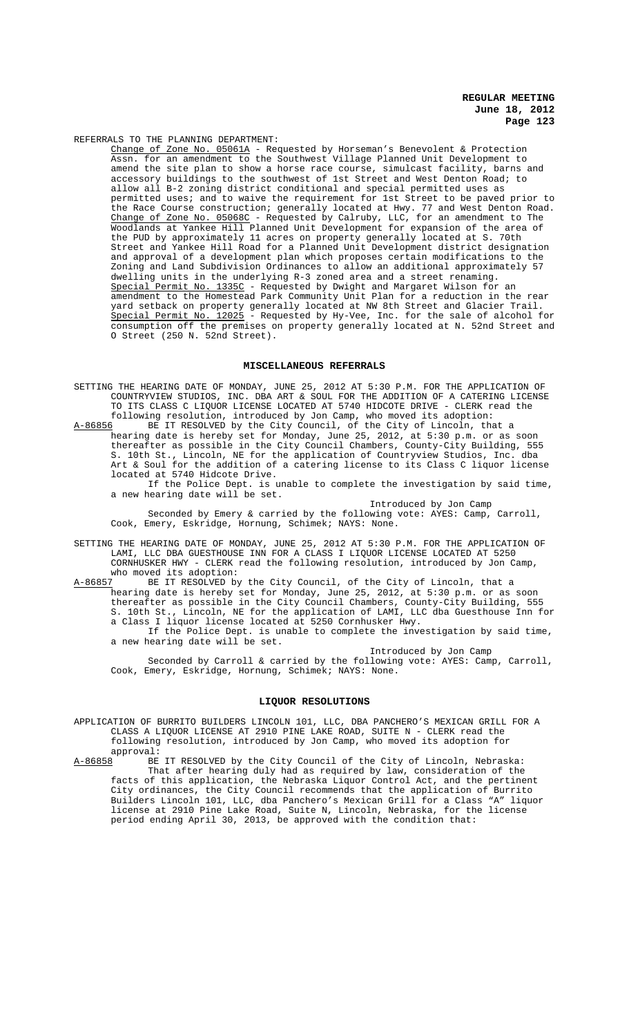REFERRALS TO THE PLANNING DEPARTMENT:

Change of Zone No. 05061A - Requested by Horseman's Benevolent & Protection Assn. for an amendment to the Southwest Village Planned Unit Development to amend the site plan to show a horse race course, simulcast facility, barns and accessory buildings to the southwest of 1st Street and West Denton Road; to allow all B-2 zoning district conditional and special permitted uses as permitted uses; and to waive the requirement for 1st Street to be paved prior to the Race Course construction; generally located at Hwy. 77 and West Denton Road. Change of Zone No. 05068C - Requested by Calruby, LLC, for an amendment to The Woodlands at Yankee Hill Planned Unit Development for expansion of the area of the PUD by approximately 11 acres on property generally located at S. 70th Street and Yankee Hill Road for a Planned Unit Development district designation and approval of a development plan which proposes certain modifications to the Zoning and Land Subdivision Ordinances to allow an additional approximately 57 dwelling units in the underlying R-3 zoned area and a street renaming. Special Permit No. 1335C - Requested by Dwight and Margaret Wilson for an amendment to the Homestead Park Community Unit Plan for a reduction in the to the Homestead Park Community Unit Plan for a reduction in the rear yard setback on property generally located at NW 8th Street and Glacier Trail. Special Permit No. 12025 - Requested by Hy-Vee, Inc. for the sale of alcohol for consumption off the premises on property generally located at N. 52nd Street and O Street (250 N. 52nd Street).

#### **MISCELLANEOUS REFERRALS**

SETTING THE HEARING DATE OF MONDAY, JUNE 25, 2012 AT 5:30 P.M. FOR THE APPLICATION OF COUNTRYVIEW STUDIOS, INC. DBA ART & SOUL FOR THE ADDITION OF A CATERING LICENSE TO ITS CLASS C LIQUOR LICENSE LOCATED AT 5740 HIDCOTE DRIVE - CLERK read the following resolution, introduced by Jon Camp, who moved its adoption:

A-86856 BE IT RESOLVED by the City Council, of the City of Lincoln, that a hearing date is hereby set for Monday, June 25, 2012, at 5:30 p.m. or as soon thereafter as possible in the City Council Chambers, County-City Building, 555 S. 10th St., Lincoln, NE for the application of Countryview Studios, Inc. dba Art & Soul for the addition of a catering license to its Class C liquor license located at 5740 Hidcote Drive.

If the Police Dept. is unable to complete the investigation by said time, a new hearing date will be set.

Introduced by Jon Camp Seconded by Emery & carried by the following vote: AYES: Camp, Carroll, Cook, Emery, Eskridge, Hornung, Schimek; NAYS: None.

SETTING THE HEARING DATE OF MONDAY, JUNE 25, 2012 AT 5:30 P.M. FOR THE APPLICATION OF LAMI, LLC DBA GUESTHOUSE INN FOR A CLASS I LIQUOR LICENSE LOCATED AT 5250 CORNHUSKER HWY - CLERK read the following resolution, introduced by Jon Camp, who moved its adoption:<br>A-86857 BE IT RESOLVED by

A-86857 BE IT RESOLVED by the City Council, of the City of Lincoln, that a hearing date is hereby set for Monday, June 25, 2012, at 5:30 p.m. or as soon thereafter as possible in the City Council Chambers, County-City Building, 555 S. 10th St., Lincoln, NE for the application of LAMI, LLC dba Guesthouse Inn for a Class I liquor license located at 5250 Cornhusker Hwy. If the Police Dept. is unable to complete the investigation by said time, a new hearing date will be set.

Introduced by Jon Camp Seconded by Carroll & carried by the following vote: AYES: Camp, Carroll, Cook, Emery, Eskridge, Hornung, Schimek; NAYS: None.

## **LIQUOR RESOLUTIONS**

APPLICATION OF BURRITO BUILDERS LINCOLN 101, LLC, DBA PANCHERO'S MEXICAN GRILL FOR A CLASS A LIQUOR LICENSE AT 2910 PINE LAKE ROAD, SUITE N - CLERK read the following resolution, introduced by Jon Camp, who moved its adoption for

approval:<br>A-86858 BE BE IT RESOLVED by the City Council of the City of Lincoln, Nebraska: That after hearing duly had as required by law, consideration of the facts of this application, the Nebraska Liquor Control Act, and the pertinent City ordinances, the City Council recommends that the application of Burrito Builders Lincoln 101, LLC, dba Panchero's Mexican Grill for a Class "A" liquor license at 2910 Pine Lake Road, Suite N, Lincoln, Nebraska, for the license period ending April 30, 2013, be approved with the condition that: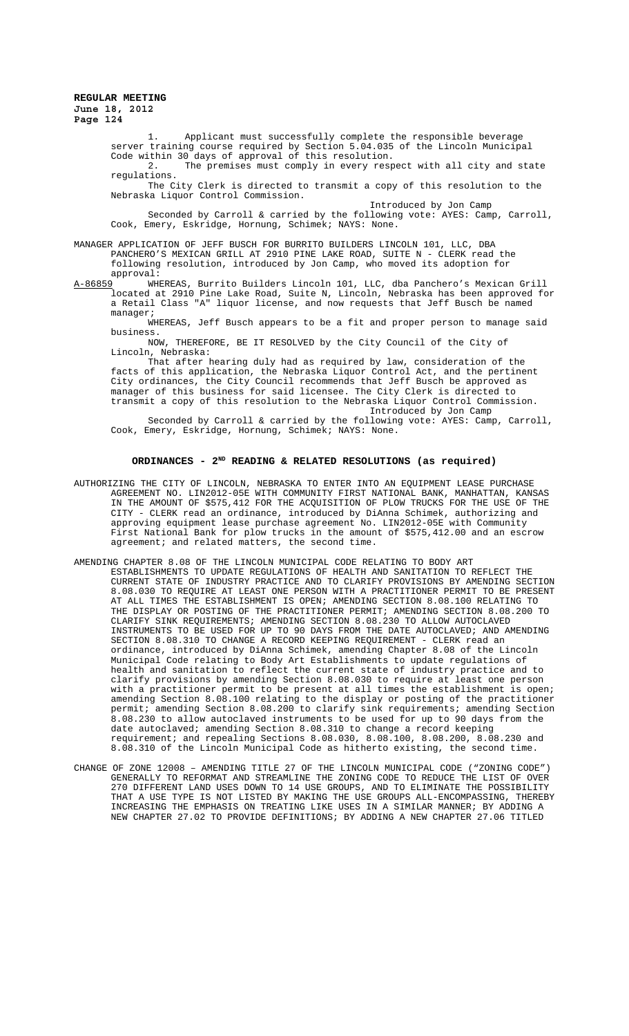1. Applicant must successfully complete the responsible beverage server training course required by Section 5.04.035 of the Lincoln Municipal Code within 30 days of approval of this resolution.

2. The premises must comply in every respect with all city and state regulations.

The City Clerk is directed to transmit a copy of this resolution to the Nebraska Liquor Control Commission.

Introduced by Jon Camp Seconded by Carroll & carried by the following vote: AYES: Camp, Carroll, Cook, Emery, Eskridge, Hornung, Schimek; NAYS: None.

MANAGER APPLICATION OF JEFF BUSCH FOR BURRITO BUILDERS LINCOLN 101, LLC, DBA PANCHERO'S MEXICAN GRILL AT 2910 PINE LAKE ROAD, SUITE N - CLERK read the following resolution, introduced by Jon Camp, who moved its adoption for approval:<br>A-86859 – MHI

#### A-86859 WHEREAS, Burrito Builders Lincoln 101, LLC, dba Panchero's Mexican Grill located at 2910 Pine Lake Road, Suite N, Lincoln, Nebraska has been approved for a Retail Class "A" liquor license, and now requests that Jeff Busch be named manager;

WHEREAS, Jeff Busch appears to be a fit and proper person to manage said business.

NOW, THEREFORE, BE IT RESOLVED by the City Council of the City of Lincoln, Nebraska:

That after hearing duly had as required by law, consideration of the facts of this application, the Nebraska Liquor Control Act, and the pertinent City ordinances, the City Council recommends that Jeff Busch be approved as manager of this business for said licensee. The City Clerk is directed to transmit a copy of this resolution to the Nebraska Liquor Control Commission.

Introduced by Jon Camp Seconded by Carroll & carried by the following vote: AYES: Camp, Carroll, Cook, Emery, Eskridge, Hornung, Schimek; NAYS: None.

# ORDINANCES - 2<sup>ND</sup> READING & RELATED RESOLUTIONS (as required)

- AUTHORIZING THE CITY OF LINCOLN, NEBRASKA TO ENTER INTO AN EQUIPMENT LEASE PURCHASE AGREEMENT NO. LIN2012-05E WITH COMMUNITY FIRST NATIONAL BANK, MANHATTAN, KANSAS IN THE AMOUNT OF \$575,412 FOR THE ACQUISITION OF PLOW TRUCKS FOR THE USE OF THE CITY - CLERK read an ordinance, introduced by DiAnna Schimek, authorizing and approving equipment lease purchase agreement No. LIN2012-05E with Community First National Bank for plow trucks in the amount of \$575,412.00 and an escrow agreement; and related matters, the second time.
- AMENDING CHAPTER 8.08 OF THE LINCOLN MUNICIPAL CODE RELATING TO BODY ART ESTABLISHMENTS TO UPDATE REGULATIONS OF HEALTH AND SANITATION TO REFLECT THE CURRENT STATE OF INDUSTRY PRACTICE AND TO CLARIFY PROVISIONS BY AMENDING SECTION 8.08.030 TO REQUIRE AT LEAST ONE PERSON WITH A PRACTITIONER PERMIT TO BE PRESENT AT ALL TIMES THE ESTABLISHMENT IS OPEN; AMENDING SECTION 8.08.100 RELATING TO THE DISPLAY OR POSTING OF THE PRACTITIONER PERMIT; AMENDING SECTION 8.08.200 TO CLARIFY SINK REQUIREMENTS; AMENDING SECTION 8.08.230 TO ALLOW AUTOCLAVED INSTRUMENTS TO BE USED FOR UP TO 90 DAYS FROM THE DATE AUTOCLAVED; AND AMENDING SECTION 8.08.310 TO CHANGE A RECORD KEEPING REQUIREMENT - CLERK read an ordinance, introduced by DiAnna Schimek, amending Chapter 8.08 of the Lincoln Municipal Code relating to Body Art Establishments to update regulations of health and sanitation to reflect the current state of industry practice and to clarify provisions by amending Section 8.08.030 to require at least one person with a practitioner permit to be present at all times the establishment is open; amending Section 8.08.100 relating to the display or posting of the practitioner permit; amending Section 8.08.200 to clarify sink requirements; amending Section 8.08.230 to allow autoclaved instruments to be used for up to 90 days from the date autoclaved; amending Section 8.08.310 to change a record keeping requirement; and repealing Sections 8.08.030, 8.08.100, 8.08.200, 8.08.230 and 8.08.310 of the Lincoln Municipal Code as hitherto existing, the second time.
- CHANGE OF ZONE 12008 AMENDING TITLE 27 OF THE LINCOLN MUNICIPAL CODE ("ZONING CODE") GENERALLY TO REFORMAT AND STREAMLINE THE ZONING CODE TO REDUCE THE LIST OF OVER 270 DIFFERENT LAND USES DOWN TO 14 USE GROUPS, AND TO ELIMINATE THE POSSIBILITY THAT A USE TYPE IS NOT LISTED BY MAKING THE USE GROUPS ALL-ENCOMPASSING, THEREBY INCREASING THE EMPHASIS ON TREATING LIKE USES IN A SIMILAR MANNER; BY ADDING A NEW CHAPTER 27.02 TO PROVIDE DEFINITIONS; BY ADDING A NEW CHAPTER 27.06 TITLED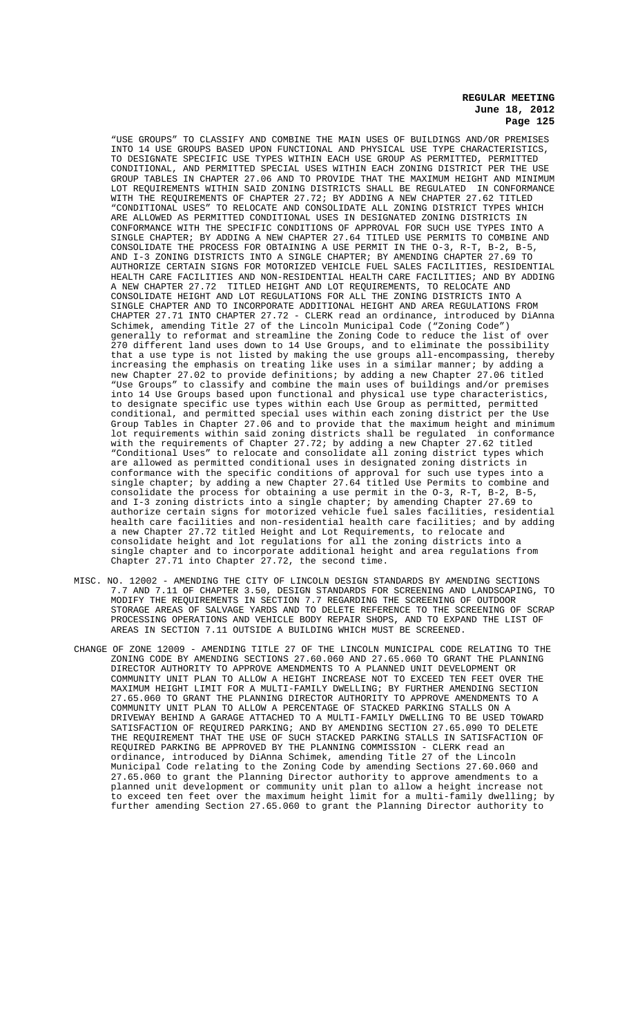"USE GROUPS" TO CLASSIFY AND COMBINE THE MAIN USES OF BUILDINGS AND/OR PREMISES INTO 14 USE GROUPS BASED UPON FUNCTIONAL AND PHYSICAL USE TYPE CHARACTERISTICS, TO DESIGNATE SPECIFIC USE TYPES WITHIN EACH USE GROUP AS PERMITTED, PERMITTED CONDITIONAL, AND PERMITTED SPECIAL USES WITHIN EACH ZONING DISTRICT PER THE USE IN CHAPTER 27.06 AND TO PROVIDE THAT THE MAXIMUM HEIGHT AND MINIMUM LOT REQUIREMENTS WITHIN SAID ZONING DISTRICTS SHALL BE REGULATED IN CONFORMANCE WITH THE REQUIREMENTS OF CHAPTER 27.72; BY ADDING A NEW CHAPTER 27.62 TITLED "CONDITIONAL USES" TO RELOCATE AND CONSOLIDATE ALL ZONING DISTRICT TYPES WHICH ARE ALLOWED AS PERMITTED CONDITIONAL USES IN DESIGNATED ZONING DISTRICTS IN CONFORMANCE WITH THE SPECIFIC CONDITIONS OF APPROVAL FOR SUCH USE TYPES INTO A SINGLE CHAPTER; BY ADDING A NEW CHAPTER 27.64 TITLED USE PERMITS TO COMBINE AND CONSOLIDATE THE PROCESS FOR OBTAINING A USE PERMIT IN THE O-3, R-T, B-2, B-5, AND I-3 ZONING DISTRICTS INTO A SINGLE CHAPTER; BY AMENDING CHAPTER 27.69 TO AUTHORIZE CERTAIN SIGNS FOR MOTORIZED VEHICLE FUEL SALES FACILITIES, RESIDENTIAL HEALTH CARE FACILITIES AND NON-RESIDENTIAL HEALTH CARE FACILITIES; AND BY ADDING A NEW CHAPTER 27.72 TITLED HEIGHT AND LOT REQUIREMENTS, TO RELOCATE AND CONSOLIDATE HEIGHT AND LOT REGULATIONS FOR ALL THE ZONING DISTRICTS INTO A SINGLE CHAPTER AND TO INCORPORATE ADDITIONAL HEIGHT AND AREA REGULATIONS FROM CHAPTER 27.71 INTO CHAPTER 27.72 - CLERK read an ordinance, introduced by DiAnna Schimek, amending Title 27 of the Lincoln Municipal Code ("Zoning Code") generally to reformat and streamline the Zoning Code to reduce the list of over 270 different land uses down to 14 Use Groups, and to eliminate the possibility that a use type is not listed by making the use groups all-encompassing, thereby increasing the emphasis on treating like uses in a similar manner; by adding a new Chapter 27.02 to provide definitions; by adding a new Chapter 27.06 titled "Use Groups" to classify and combine the main uses of buildings and/or premises into 14 Use Groups based upon functional and physical use type characteristics, to designate specific use types within each Use Group as permitted, permitted conditional, and permitted special uses within each zoning district per the Use Group Tables in Chapter 27.06 and to provide that the maximum height and minimum<br>lot requirements within said zoning districts shall be requlated in conformance lot requirements within said zoning districts shall be regulated in conformance with the requirements of Chapter 27.72; by adding a new Chapter 27.62 titled "Conditional Uses" to relocate and consolidate all zoning district types which are allowed as permitted conditional uses in designated zoning districts in conformance with the specific conditions of approval for such use types into a single chapter; by adding a new Chapter 27.64 titled Use Permits to combine and consolidate the process for obtaining a use permit in the O-3, R-T, B-2, B-5, and I-3 zoning districts into a single chapter; by amending Chapter 27.69 to authorize certain signs for motorized vehicle fuel sales facilities, residential health care facilities and non-residential health care facilities; and by adding a new Chapter 27.72 titled Height and Lot Requirements, to relocate and consolidate height and lot regulations for all the zoning districts into a single chapter and to incorporate additional height and area regulations from Chapter 27.71 into Chapter 27.72, the second time.

- MISC. NO. 12002 AMENDING THE CITY OF LINCOLN DESIGN STANDARDS BY AMENDING SECTIONS 7.7 AND 7.11 OF CHAPTER 3.50, DESIGN STANDARDS FOR SCREENING AND LANDSCAPING, TO MODIFY THE REQUIREMENTS IN SECTION 7.7 REGARDING THE SCREENING OF OUTDOOR STORAGE AREAS OF SALVAGE YARDS AND TO DELETE REFERENCE TO THE SCREENING OF SCRAP PROCESSING OPERATIONS AND VEHICLE BODY REPAIR SHOPS, AND TO EXPAND THE LIST OF AREAS IN SECTION 7.11 OUTSIDE A BUILDING WHICH MUST BE SCREENED.
- CHANGE OF ZONE 12009 AMENDING TITLE 27 OF THE LINCOLN MUNICIPAL CODE RELATING TO THE ZONING CODE BY AMENDING SECTIONS 27.60.060 AND 27.65.060 TO GRANT THE PLANNING DIRECTOR AUTHORITY TO APPROVE AMENDMENTS TO A PLANNED UNIT DEVELOPMENT OR COMMUNITY UNIT PLAN TO ALLOW A HEIGHT INCREASE NOT TO EXCEED TEN FEET OVER THE MAXIMUM HEIGHT LIMIT FOR A MULTI-FAMILY DWELLING; BY FURTHER AMENDING SECTION 27.65.060 TO GRANT THE PLANNING DIRECTOR AUTHORITY TO APPROVE AMENDMENTS TO A COMMUNITY UNIT PLAN TO ALLOW A PERCENTAGE OF STACKED PARKING STALLS ON A DRIVEWAY BEHIND A GARAGE ATTACHED TO A MULTI-FAMILY DWELLING TO BE USED TOWARD SATISFACTION OF REQUIRED PARKING; AND BY AMENDING SECTION 27.65.090 TO DELETE THE REQUIREMENT THAT THE USE OF SUCH STACKED PARKING STALLS IN SATISFACTION OF REQUIRED PARKING BE APPROVED BY THE PLANNING COMMISSION - CLERK read an ordinance, introduced by DiAnna Schimek, amending Title 27 of the Lincoln Municipal Code relating to the Zoning Code by amending Sections 27.60.060 and 27.65.060 to grant the Planning Director authority to approve amendments to a planned unit development or community unit plan to allow a height increase not to exceed ten feet over the maximum height limit for a multi-family dwelling; by further amending Section 27.65.060 to grant the Planning Director authority to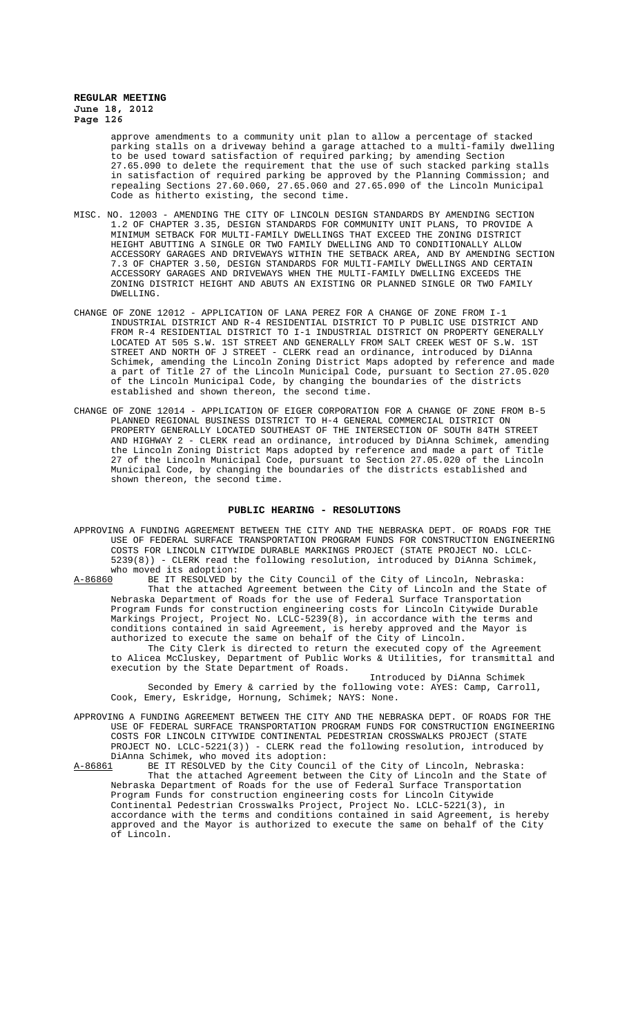> approve amendments to a community unit plan to allow a percentage of stacked parking stalls on a driveway behind a garage attached to a multi-family dwelling to be used toward satisfaction of required parking; by amending Section 27.65.090 to delete the requirement that the use of such stacked parking stalls in satisfaction of required parking be approved by the Planning Commission; and repealing Sections 27.60.060, 27.65.060 and 27.65.090 of the Lincoln Municipal Code as hitherto existing, the second time.

- MISC. NO. 12003 AMENDING THE CITY OF LINCOLN DESIGN STANDARDS BY AMENDING SECTION 1.2 OF CHAPTER 3.35, DESIGN STANDARDS FOR COMMUNITY UNIT PLANS, TO PROVIDE A MINIMUM SETBACK FOR MULTI-FAMILY DWELLINGS THAT EXCEED THE ZONING DISTRICT HEIGHT ABUTTING A SINGLE OR TWO FAMILY DWELLING AND TO CONDITIONALLY ALLOW ACCESSORY GARAGES AND DRIVEWAYS WITHIN THE SETBACK AREA, AND BY AMENDING SECTION 7.3 OF CHAPTER 3.50, DESIGN STANDARDS FOR MULTI-FAMILY DWELLINGS AND CERTAIN ACCESSORY GARAGES AND DRIVEWAYS WHEN THE MULTI-FAMILY DWELLING EXCEEDS THE ZONING DISTRICT HEIGHT AND ABUTS AN EXISTING OR PLANNED SINGLE OR TWO FAMILY DWELLING.
- CHANGE OF ZONE 12012 APPLICATION OF LANA PEREZ FOR A CHANGE OF ZONE FROM I-1 INDUSTRIAL DISTRICT AND R-4 RESIDENTIAL DISTRICT TO P PUBLIC USE DISTRICT AND FROM R-4 RESIDENTIAL DISTRICT TO I-1 INDUSTRIAL DISTRICT ON PROPERTY GENERALLY LOCATED AT 505 S.W. 1ST STREET AND GENERALLY FROM SALT CREEK WEST OF S.W. 1ST STREET AND NORTH OF J STREET - CLERK read an ordinance, introduced by DiAnna Schimek, amending the Lincoln Zoning District Maps adopted by reference and made a part of Title 27 of the Lincoln Municipal Code, pursuant to Section 27.05.020 of the Lincoln Municipal Code, by changing the boundaries of the districts established and shown thereon, the second time.
- CHANGE OF ZONE 12014 APPLICATION OF EIGER CORPORATION FOR A CHANGE OF ZONE FROM B-5 PLANNED REGIONAL BUSINESS DISTRICT TO H-4 GENERAL COMMERCIAL DISTRICT ON PROPERTY GENERALLY LOCATED SOUTHEAST OF THE INTERSECTION OF SOUTH 84TH STREET AND HIGHWAY 2 - CLERK read an ordinance, introduced by DiAnna Schimek, amending the Lincoln Zoning District Maps adopted by reference and made a part of Title 27 of the Lincoln Municipal Code, pursuant to Section 27.05.020 of the Lincoln Municipal Code, by changing the boundaries of the districts established and shown thereon, the second time.

#### **PUBLIC HEARING - RESOLUTIONS**

- APPROVING A FUNDING AGREEMENT BETWEEN THE CITY AND THE NEBRASKA DEPT. OF ROADS FOR THE USE OF FEDERAL SURFACE TRANSPORTATION PROGRAM FUNDS FOR CONSTRUCTION ENGINEERING COSTS FOR LINCOLN CITYWIDE DURABLE MARKINGS PROJECT (STATE PROJECT NO. LCLC-5239(8)) - CLERK read the following resolution, introduced by DiAnna Schimek, who moved its adoption:<br>A-86860 BE IT RESOLVED by
- BE IT RESOLVED by the City Council of the City of Lincoln, Nebraska: That the attached Agreement between the City of Lincoln and the State of Nebraska Department of Roads for the use of Federal Surface Transportation Program Funds for construction engineering costs for Lincoln Citywide Durable Markings Project, Project No. LCLC-5239(8), in accordance with the terms and conditions contained in said Agreement, is hereby approved and the Mayor is authorized to execute the same on behalf of the City of Lincoln.

The City Clerk is directed to return the executed copy of the Agreement to Alicea McCluskey, Department of Public Works & Utilities, for transmittal and execution by the State Department of Roads.

Introduced by DiAnna Schimek Seconded by Emery & carried by the following vote: AYES: Camp, Carroll, Cook, Emery, Eskridge, Hornung, Schimek; NAYS: None.

APPROVING A FUNDING AGREEMENT BETWEEN THE CITY AND THE NEBRASKA DEPT. OF ROADS FOR THE USE OF FEDERAL SURFACE TRANSPORTATION PROGRAM FUNDS FOR CONSTRUCTION ENGINEERING COSTS FOR LINCOLN CITYWIDE CONTINENTAL PEDESTRIAN CROSSWALKS PROJECT (STATE PROJECT NO. LCLC-5221(3)) - CLERK read the following resolution, introduced by DiAnna Schimek, who moved its adoption:<br>A-86861 BE IT RESOLVED by the City Counc:

A-86861 BE IT RESOLVED by the City Council of the City of Lincoln, Nebraska: That the attached Agreement between the City of Lincoln and the State of Nebraska Department of Roads for the use of Federal Surface Transportation Program Funds for construction engineering costs for Lincoln Citywide Continental Pedestrian Crosswalks Project, Project No. LCLC-5221(3), in accordance with the terms and conditions contained in said Agreement, is hereby approved and the Mayor is authorized to execute the same on behalf of the City of Lincoln.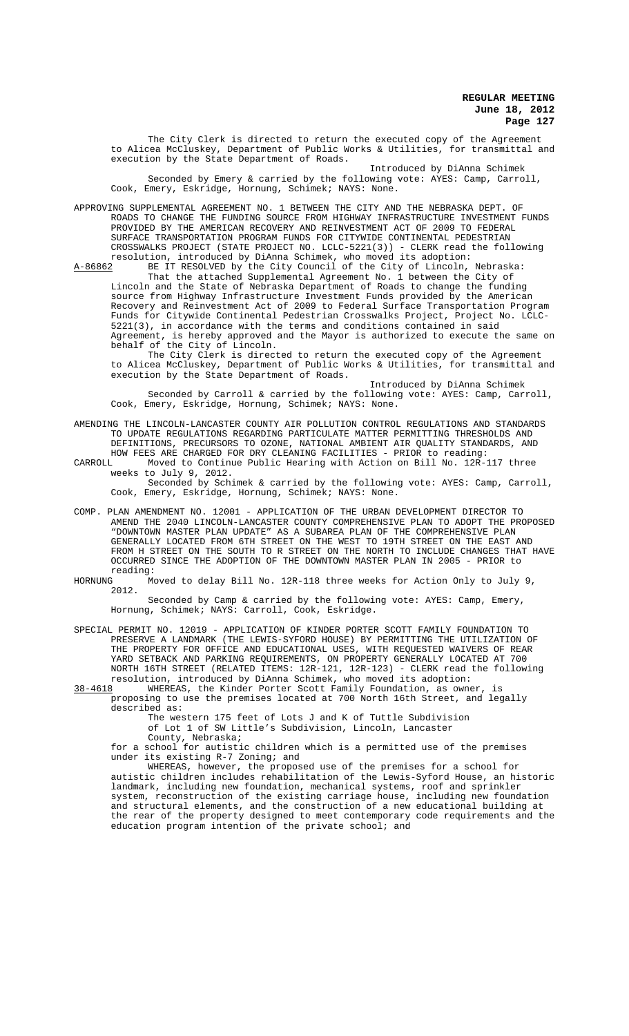The City Clerk is directed to return the executed copy of the Agreement to Alicea McCluskey, Department of Public Works & Utilities, for transmittal and execution by the State Department of Roads.

Introduced by DiAnna Schimek Seconded by Emery & carried by the following vote: AYES: Camp, Carroll, Cook, Emery, Eskridge, Hornung, Schimek; NAYS: None.

APPROVING SUPPLEMENTAL AGREEMENT NO. 1 BETWEEN THE CITY AND THE NEBRASKA DEPT. OF ROADS TO CHANGE THE FUNDING SOURCE FROM HIGHWAY INFRASTRUCTURE INVESTMENT FUNDS PROVIDED BY THE AMERICAN RECOVERY AND REINVESTMENT ACT OF 2009 TO FEDERAL SURFACE TRANSPORTATION PROGRAM FUNDS FOR CITYWIDE CONTINENTAL PEDESTRIAN CROSSWALKS PROJECT (STATE PROJECT NO. LCLC-5221(3)) - CLERK read the following resolution, introduced by DiAnna Schimek, who moved its adoption:

A-86862 BE IT RESOLVED by the City Council of the City of Lincoln, Nebraska: That the attached Supplemental Agreement No. 1 between the City of Lincoln and the State of Nebraska Department of Roads to change the funding source from Highway Infrastructure Investment Funds provided by the American Recovery and Reinvestment Act of 2009 to Federal Surface Transportation Program Funds for Citywide Continental Pedestrian Crosswalks Project, Project No. LCLC-5221(3), in accordance with the terms and conditions contained in said Agreement, is hereby approved and the Mayor is authorized to execute the same on behalf of the City of Lincoln.

The City Clerk is directed to return the executed copy of the Agreement to Alicea McCluskey, Department of Public Works & Utilities, for transmittal and execution by the State Department of Roads.

Introduced by DiAnna Schimek Seconded by Carroll & carried by the following vote: AYES: Camp, Carroll, Cook, Emery, Eskridge, Hornung, Schimek; NAYS: None.

AMENDING THE LINCOLN-LANCASTER COUNTY AIR POLLUTION CONTROL REGULATIONS AND STANDARDS TO UPDATE REGULATIONS REGARDING PARTICULATE MATTER PERMITTING THRESHOLDS AND DEFINITIONS, PRECURSORS TO OZONE, NATIONAL AMBIENT AIR QUALITY STANDARDS, AND HOW FEES ARE CHARGED FOR DRY CLEANING FACILITIES - PRIOR to reading:

CARROLL Moved to Continue Public Hearing with Action on Bill No. 12R-117 three weeks to July 9, 2012.

Seconded by Schimek & carried by the following vote: AYES: Camp, Carroll, Cook, Emery, Eskridge, Hornung, Schimek; NAYS: None.

- COMP. PLAN AMENDMENT NO. 12001 APPLICATION OF THE URBAN DEVELOPMENT DIRECTOR TO AMEND THE 2040 LINCOLN-LANCASTER COUNTY COMPREHENSIVE PLAN TO ADOPT THE PROPOSED "DOWNTOWN MASTER PLAN UPDATE" AS A SUBAREA PLAN OF THE COMPREHENSIVE PLAN GENERALLY LOCATED FROM 6TH STREET ON THE WEST TO 19TH STREET ON THE EAST AND FROM H STREET ON THE SOUTH TO R STREET ON THE NORTH TO INCLUDE CHANGES THAT HAVE OCCURRED SINCE THE ADOPTION OF THE DOWNTOWN MASTER PLAN IN 2005 - PRIOR to
- reading:<br>HORNUNG M Moved to delay Bill No. 12R-118 three weeks for Action Only to July 9, 2012.

Seconded by Camp & carried by the following vote: AYES: Camp, Emery, Hornung, Schimek; NAYS: Carroll, Cook, Eskridge.

SPECIAL PERMIT NO. 12019 - APPLICATION OF KINDER PORTER SCOTT FAMILY FOUNDATION TO PRESERVE A LANDMARK (THE LEWIS-SYFORD HOUSE) BY PERMITTING THE UTILIZATION OF THE PROPERTY FOR OFFICE AND EDUCATIONAL USES, WITH REQUESTED WAIVERS OF YARD SETBACK AND PARKING REQUIREMENTS, ON PROPERTY GENERALLY LOCATED AT 700 NORTH 16TH STREET (RELATED ITEMS: 12R-121, 12R-123) - CLERK read the following resolution, introduced by DiAnna Schimek, who moved its adoption:

38-4618 WHEREAS, the Kinder Porter Scott Family Foundation, as owner, is proposing to use the premises located at 700 North 16th Street, and legally described as:

The western 175 feet of Lots J and K of Tuttle Subdivision of Lot 1 of SW Little's Subdivision, Lincoln, Lancaster

County, Nebraska;

for a school for autistic children which is a permitted use of the premises under its existing R-7 Zoning; and

WHEREAS, however, the proposed use of the premises for a school for autistic children includes rehabilitation of the Lewis-Syford House, an historic landmark, including new foundation, mechanical systems, roof and sprinkler system, reconstruction of the existing carriage house, including new foundation and structural elements, and the construction of a new educational building at the rear of the property designed to meet contemporary code requirements and the education program intention of the private school; and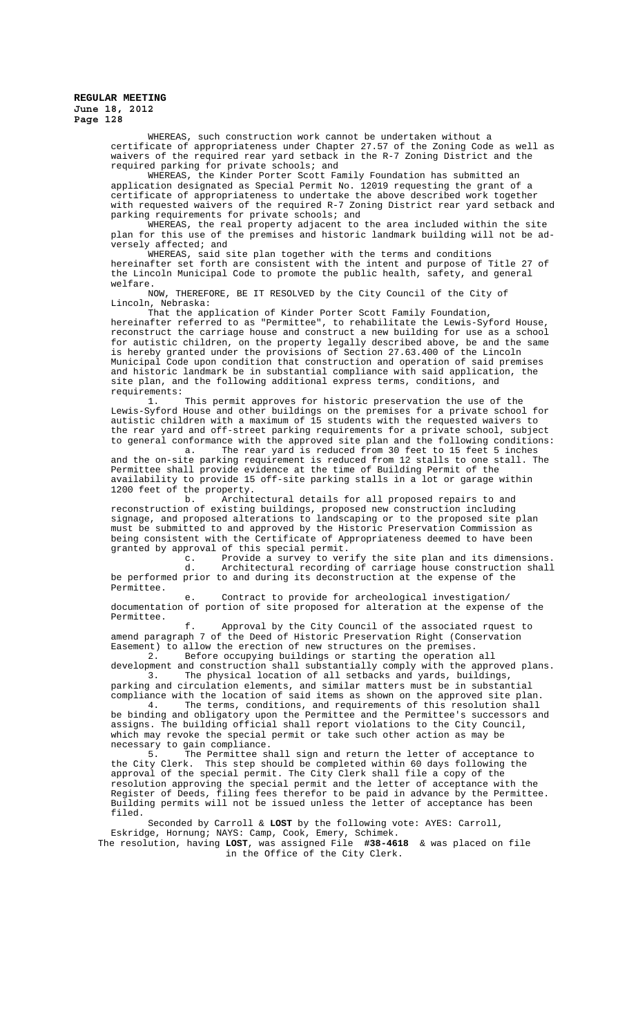> WHEREAS, such construction work cannot be undertaken without a certificate of appropriateness under Chapter 27.57 of the Zoning Code as well as waivers of the required rear yard setback in the R-7 Zoning District and the required parking for private schools; and

> WHEREAS, the Kinder Porter Scott Family Foundation has submitted an application designated as Special Permit No. 12019 requesting the grant of a certificate of appropriateness to undertake the above described work together with requested waivers of the required R-7 Zoning District rear yard setback and parking requirements for private schools; and

> WHEREAS, the real property adjacent to the area included within the site plan for this use of the premises and historic landmark building will not be adversely affected; and

WHEREAS, said site plan together with the terms and conditions hereinafter set forth are consistent with the intent and purpose of Title 27 of the Lincoln Municipal Code to promote the public health, safety, and general welfare.

NOW, THEREFORE, BE IT RESOLVED by the City Council of the City of Lincoln, Nebraska:

That the application of Kinder Porter Scott Family Foundation, hereinafter referred to as "Permittee", to rehabilitate the Lewis-Syford House, reconstruct the carriage house and construct a new building for use as a school for autistic children, on the property legally described above, be and the same is hereby granted under the provisions of Section 27.63.400 of the Lincoln Municipal Code upon condition that construction and operation of said premises and historic landmark be in substantial compliance with said application, the site plan, and the following additional express terms, conditions, and requirements:

1. This permit approves for historic preservation the use of the Lewis-Syford House and other buildings on the premises for a private school for autistic children with a maximum of 15 students with the requested waivers to the rear yard and off-street parking requirements for a private school, subject to general conformance with the approved site plan and the following conditions:

a. The rear yard is reduced from 30 feet to 15 feet 5 inches and the on-site parking requirement is reduced from 12 stalls to one stall. The Permittee shall provide evidence at the time of Building Permit of the availability to provide 15 off-site parking stalls in a lot or garage within 1200 feet of the property.

b. Architectural details for all proposed repairs to and reconstruction of existing buildings, proposed new construction including signage, and proposed alterations to landscaping or to the proposed site plan must be submitted to and approved by the Historic Preservation Commission as being consistent with the Certificate of Appropriateness deemed to have been granted by approval of this special permit.

c. Provide a survey to verify the site plan and its dimensions. d. Architectural recording of carriage house construction shall be performed prior to and during its deconstruction at the expense of the Permittee.

e. Contract to provide for archeological investigation/ documentation of portion of site proposed for alteration at the expense of the Permittee.

f. Approval by the City Council of the associated rquest to amend paragraph 7 of the Deed of Historic Preservation Right (Conservation Easement) to allow the erection of new structures on the premises.<br>2. Before occupying buildings or starting the operation Before occupying buildings or starting the operation all

development and construction shall substantially comply with the approved plans. 3. The physical location of all setbacks and yards, buildings, parking and circulation elements, and similar matters must be in substantial

compliance with the location of said items as shown on the approved site plan. 4. The terms, conditions, and requirements of this resolution shall be binding and obligatory upon the Permittee and the Permittee's successors and assigns. The building official shall report violations to the City Council, which may revoke the special permit or take such other action as may be necessary to gain compliance.

5. The Permittee shall sign and return the letter of acceptance to the City Clerk. This step should be completed within 60 days following the approval of the special permit. The City Clerk shall file a copy of the resolution approving the special permit and the letter of acceptance with the Register of Deeds, filing fees therefor to be paid in advance by the Permittee. Building permits will not be issued unless the letter of acceptance has been filed.

Seconded by Carroll & **LOST** by the following vote: AYES: Carroll, Eskridge, Hornung; NAYS: Camp, Cook, Emery, Schimek. The resolution, having **LOST**, was assigned File **#38-4618** & was placed on file

in the Office of the City Clerk.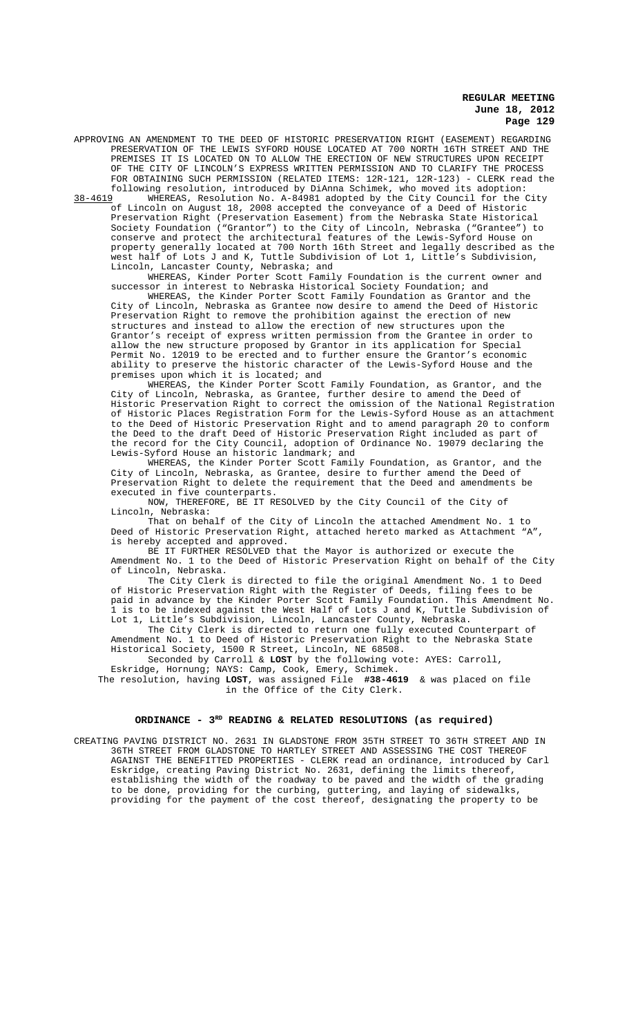APPROVING AN AMENDMENT TO THE DEED OF HISTORIC PRESERVATION RIGHT (EASEMENT) REGARDING PRESERVATION OF THE LEWIS SYFORD HOUSE LOCATED AT 700 NORTH 16TH STREET AND THE PREMISES IT IS LOCATED ON TO ALLOW THE ERECTION OF NEW STRUCTURES UPON RECEIPT OF THE CITY OF LINCOLN'S EXPRESS WRITTEN PERMISSION AND TO CLARIFY THE PROCESS FOR OBTAINING SUCH PERMISSION (RELATED ITEMS: 12R-121, 12R-123) - CLERK read the following resolution, introduced by DiAnna Schimek, who moved its adoption:

38-4619 WHEREAS, Resolution No. A-84981 adopted by the City Council for the City of Lincoln on August 18, 2008 accepted the conveyance of a Deed of Historic Preservation Right (Preservation Easement) from the Nebraska State Historical Society Foundation ("Grantor") to the City of Lincoln, Nebraska ("Grantee") to conserve and protect the architectural features of the Lewis-Syford House on property generally located at 700 North 16th Street and legally described as the west half of Lots J and K, Tuttle Subdivision of Lot 1, Little's Subdivision, Lincoln, Lancaster County, Nebraska; and

WHEREAS, Kinder Porter Scott Family Foundation is the current owner and successor in interest to Nebraska Historical Society Foundation; and WHEREAS, the Kinder Porter Scott Family Foundation as Grantor and the City of Lincoln, Nebraska as Grantee now desire to amend the Deed of Historic Preservation Right to remove the prohibition against the erection of new structures and instead to allow the erection of new structures upon the Grantor's receipt of express written permission from the Grantee in order to allow the new structure proposed by Grantor in its application for Special Permit No. 12019 to be erected and to further ensure the Grantor's economic ability to preserve the historic character of the Lewis-Syford House and the premises upon which it is located; and

WHEREAS, the Kinder Porter Scott Family Foundation, as Grantor, and the City of Lincoln, Nebraska, as Grantee, further desire to amend the Deed of Historic Preservation Right to correct the omission of the National Registration of Historic Places Registration Form for the Lewis-Syford House as an attachment to the Deed of Historic Preservation Right and to amend paragraph 20 to conform the Deed to the draft Deed of Historic Preservation Right included as part of the record for the City Council, adoption of Ordinance No. 19079 declaring the Lewis-Syford House an historic landmark; and

WHEREAS, the Kinder Porter Scott Family Foundation, as Grantor, and the City of Lincoln, Nebraska, as Grantee, desire to further amend the Deed of Preservation Right to delete the requirement that the Deed and amendments be executed in five counterparts.

NOW, THEREFORE, BE IT RESOLVED by the City Council of the City of Lincoln, Nebraska:

That on behalf of the City of Lincoln the attached Amendment No. 1 to Deed of Historic Preservation Right, attached hereto marked as Attachment "A", is hereby accepted and approved.

BE IT FURTHER RESOLVED that the Mayor is authorized or execute the Amendment No. 1 to the Deed of Historic Preservation Right on behalf of the City of Lincoln, Nebraska.

The City Clerk is directed to file the original Amendment No. 1 to Deed of Historic Preservation Right with the Register of Deeds, filing fees to be paid in advance by the Kinder Porter Scott Family Foundation. This Amendment No. 1 is to be indexed against the West Half of Lots J and K, Tuttle Subdivision of Lot 1, Little's Subdivision, Lincoln, Lancaster County, Nebraska.

The City Clerk is directed to return one fully executed Counterpart of Amendment No. 1 to Deed of Historic Preservation Right to the Nebraska State Historical Society, 1500 R Street, Lincoln, NE 68508.

Seconded by Carroll & **LOST** by the following vote: AYES: Carroll, Eskridge, Hornung; NAYS: Camp, Cook, Emery, Schimek.

The resolution, having **LOST**, was assigned File **#38-4619** & was placed on file in the Office of the City Clerk.

# ORDINANCE -  $3^{RD}$  READING & RELATED RESOLUTIONS (as required)

CREATING PAVING DISTRICT NO. 2631 IN GLADSTONE FROM 35TH STREET TO 36TH STREET AND IN 36TH STREET FROM GLADSTONE TO HARTLEY STREET AND ASSESSING THE COST THEREOF AGAINST THE BENEFITTED PROPERTIES - CLERK read an ordinance, introduced by Carl Eskridge, creating Paving District No. 2631, defining the limits thereof, establishing the width of the roadway to be paved and the width of the grading to be done, providing for the curbing, guttering, and laying of sidewalks, providing for the payment of the cost thereof, designating the property to be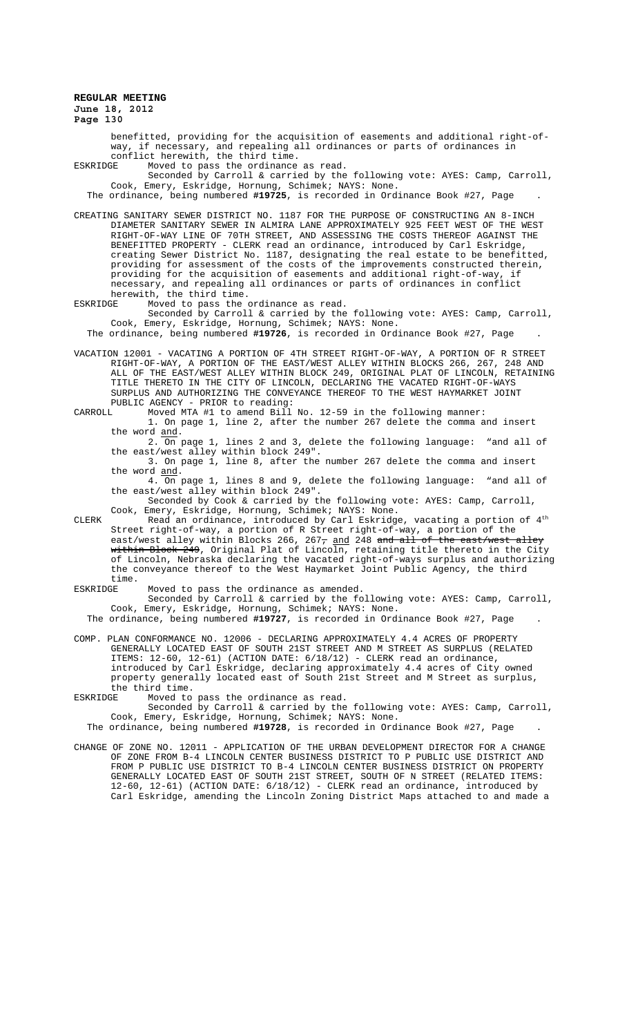**REGULAR MEETING June 18, 2012**

**Page 130**

benefitted, providing for the acquisition of easements and additional right-ofway, if necessary, and repealing all ordinances or parts of ordinances in conflict herewith, the third time.

ESKRIDGE Moved to pass the ordinance as read.

Seconded by Carroll & carried by the following vote: AYES: Camp, Carroll, Cook, Emery, Eskridge, Hornung, Schimek; NAYS: None.

The ordinance, being numbered **#19725**, is recorded in Ordinance Book #27, Page .

CREATING SANITARY SEWER DISTRICT NO. 1187 FOR THE PURPOSE OF CONSTRUCTING AN 8-INCH DIAMETER SANITARY SEWER IN ALMIRA LANE APPROXIMATELY 925 FEET WEST OF THE WEST RIGHT-OF-WAY LINE OF 70TH STREET, AND ASSESSING THE COSTS THEREOF AGAINST THE BENEFITTED PROPERTY - CLERK read an ordinance, introduced by Carl Eskridge, creating Sewer District No. 1187, designating the real estate to be benefitted, providing for assessment of the costs of the improvements constructed therein, providing for the acquisition of easements and additional right-of-way, if necessary, and repealing all ordinances or parts of ordinances in conflict herewith, the third time.<br>ESKRIDGE Moved to pass the out

Moved to pass the ordinance as read. Seconded by Carroll & carried by the following vote: AYES: Camp, Carroll, Cook, Emery, Eskridge, Hornung, Schimek; NAYS: None.

The ordinance, being numbered **#19726**, is recorded in Ordinance Book #27, Page .

VACATION 12001 - VACATING A PORTION OF 4TH STREET RIGHT-OF-WAY, A PORTION OF R STREET RIGHT-OF-WAY, A PORTION OF THE EAST/WEST ALLEY WITHIN BLOCKS 266, 267, 248 AND ALL OF THE EAST/WEST ALLEY WITHIN BLOCK 249, ORIGINAL PLAT OF LINCOLN, RETAINING TITLE THERETO IN THE CITY OF LINCOLN, DECLARING THE VACATED RIGHT-OF-WAYS SURPLUS AND AUTHORIZING THE CONVEYANCE THEREOF TO THE WEST HAYMARKET JOINT PUBLIC AGENCY - PRIOR to reading:<br>CARROLL Moved MTA #1 to amend Bill

Moved MTA #1 to amend Bill No. 12-59 in the following manner: 1. On page 1, line 2, after the number 267 delete the comma and insert

the word  $\frac{and}{2}$ . On r 2. On page 1, lines 2 and 3, delete the following language: "and all of the east/west alley within block 249".

3. On page 1, line 8, after the number 267 delete the comma and insert the word and.

4. On page 1, lines 8 and 9, delete the following language: "and all of the east/west alley within block 249".

Seconded by Cook & carried by the following vote: AYES: Camp, Carroll, Cook, Emery, Eskridge, Hornung, Schimek; NAYS: None.

CLERK Read an ordinance, introduced by Carl Eskridge, vacating a portion of  $4<sup>th</sup>$ Street right-of-way, a portion of R Street right-of-way, a portion of the east/west alley within Blocks 266, 267<del>,</del> <u>and</u> 248 <del>and all of the east/west alley</del> within Block 249, Original Plat of Lincoln, retaining title thereto in the City of Lincoln, Nebraska declaring the vacated right-of-ways surplus and authorizing the conveyance thereof to the West Haymarket Joint Public Agency, the third time.<br>ESKRIDGE

Moved to pass the ordinance as amended.

Seconded by Carroll & carried by the following vote: AYES: Camp, Carroll, Cook, Emery, Eskridge, Hornung, Schimek; NAYS: None.

The ordinance, being numbered **#19727**, is recorded in Ordinance Book #27, Page .

COMP. PLAN CONFORMANCE NO. 12006 - DECLARING APPROXIMATELY 4.4 ACRES OF PROPERTY GENERALLY LOCATED EAST OF SOUTH 21ST STREET AND M STREET AS SURPLUS (RELATED ITEMS: 12-60, 12-61) (ACTION DATE: 6/18/12) - CLERK read an ordinance, introduced by Carl Eskridge, declaring approximately 4.4 acres of City owned property generally located east of South 21st Street and M Street as surplus, the third time.<br>ESKRIDGE Moved to

Moved to pass the ordinance as read.

Seconded by Carroll & carried by the following vote: AYES: Camp, Carroll, Cook, Emery, Eskridge, Hornung, Schimek; NAYS: None.

The ordinance, being numbered **#19728**, is recorded in Ordinance Book #27, Page .

CHANGE OF ZONE NO. 12011 - APPLICATION OF THE URBAN DEVELOPMENT DIRECTOR FOR A CHANGE OF ZONE FROM B-4 LINCOLN CENTER BUSINESS DISTRICT TO P PUBLIC USE DISTRICT AND FROM P PUBLIC USE DISTRICT TO B-4 LINCOLN CENTER BUSINESS DISTRICT ON PROPERTY GENERALLY LOCATED EAST OF SOUTH 21ST STREET, SOUTH OF N STREET (RELATED ITEMS: 12-60, 12-61) (ACTION DATE: 6/18/12) - CLERK read an ordinance, introduced by Carl Eskridge, amending the Lincoln Zoning District Maps attached to and made a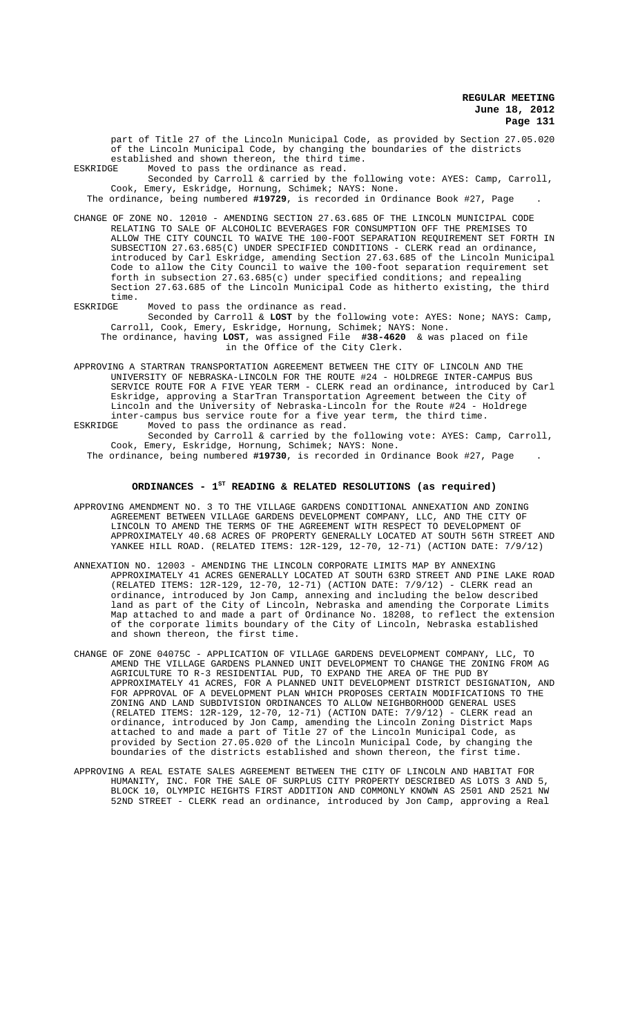part of Title 27 of the Lincoln Municipal Code, as provided by Section 27.05.020 of the Lincoln Municipal Code, by changing the boundaries of the districts established and shown thereon, the third time.<br>ESKRIDGE Moved to pass the ordinance as read.

Moved to pass the ordinance as read.

Seconded by Carroll & carried by the following vote: AYES: Camp, Carroll, Cook, Emery, Eskridge, Hornung, Schimek; NAYS: None. The ordinance, being numbered **#19729**, is recorded in Ordinance Book #27, Page .

CHANGE OF ZONE NO. 12010 - AMENDING SECTION 27.63.685 OF THE LINCOLN MUNICIPAL CODE RELATING TO SALE OF ALCOHOLIC BEVERAGES FOR CONSUMPTION OFF THE PREMISES TO ALLOW THE CITY COUNCIL TO WAIVE THE 100-FOOT SEPARATION REQUIREMENT SET FORTH IN SUBSECTION 27.63.685(C) UNDER SPECIFIED CONDITIONS - CLERK read an ordinance, introduced by Carl Eskridge, amending Section 27.63.685 of the Lincoln Municipal Code to allow the City Council to waive the 100-foot separation requirement set forth in subsection 27.63.685(c) under specified conditions; and repealing Section 27.63.685 of the Lincoln Municipal Code as hitherto existing, the third time.<br>ESKRIDGE

- Moved to pass the ordinance as read. Seconded by Carroll & **LOST** by the following vote: AYES: None; NAYS: Camp, Carroll, Cook, Emery, Eskridge, Hornung, Schimek; NAYS: None. The ordinance, having **LOST**, was assigned File **#38-4620** & was placed on file in the Office of the City Clerk.
- APPROVING A STARTRAN TRANSPORTATION AGREEMENT BETWEEN THE CITY OF LINCOLN AND THE UNIVERSITY OF NEBRASKA-LINCOLN FOR THE ROUTE #24 - HOLDREGE INTER-CAMPUS BUS SERVICE ROUTE FOR A FIVE YEAR TERM - CLERK read an ordinance, introduced by Carl Eskridge, approving a StarTran Transportation Agreement between the City of Lincoln and the University of Nebraska-Lincoln for the Route #24 - Holdrege inter-campus bus service route for a five year term, the third time.
- ESKRIDGE Moved to pass the ordinance as read. Seconded by Carroll & carried by the following vote: AYES: Camp, Carroll, Cook, Emery, Eskridge, Hornung, Schimek; NAYS: None.

The ordinance, being numbered **#19730**, is recorded in Ordinance Book #27, Page .

## ORDINANCES - 1<sup>st</sup> READING & RELATED RESOLUTIONS (as required)

- APPROVING AMENDMENT NO. 3 TO THE VILLAGE GARDENS CONDITIONAL ANNEXATION AND ZONING AGREEMENT BETWEEN VILLAGE GARDENS DEVELOPMENT COMPANY, LLC, AND THE CITY OF LINCOLN TO AMEND THE TERMS OF THE AGREEMENT WITH RESPECT TO DEVELOPMENT OF APPROXIMATELY 40.68 ACRES OF PROPERTY GENERALLY LOCATED AT SOUTH 56TH STREET AND YANKEE HILL ROAD. (RELATED ITEMS: 12R-129, 12-70, 12-71) (ACTION DATE: 7/9/12)
- ANNEXATION NO. 12003 AMENDING THE LINCOLN CORPORATE LIMITS MAP BY ANNEXING APPROXIMATELY 41 ACRES GENERALLY LOCATED AT SOUTH 63RD STREET AND PINE LAKE ROAD (RELATED ITEMS: 12R-129, 12-70, 12-71) (ACTION DATE: 7/9/12) - CLERK read an ordinance, introduced by Jon Camp, annexing and including the below described land as part of the City of Lincoln, Nebraska and amending the Corporate Limits Map attached to and made a part of Ordinance No. 18208, to reflect the extension of the corporate limits boundary of the City of Lincoln, Nebraska established and shown thereon, the first time.
- CHANGE OF ZONE 04075C APPLICATION OF VILLAGE GARDENS DEVELOPMENT COMPANY, LLC, TO AMEND THE VILLAGE GARDENS PLANNED UNIT DEVELOPMENT TO CHANGE THE ZONING FROM AG AGRICULTURE TO R-3 RESIDENTIAL PUD, TO EXPAND THE AREA OF THE PUD BY APPROXIMATELY 41 ACRES, FOR A PLANNED UNIT DEVELOPMENT DISTRICT DESIGNATION, AND FOR APPROVAL OF A DEVELOPMENT PLAN WHICH PROPOSES CERTAIN MODIFICATIONS TO THE ZONING AND LAND SUBDIVISION ORDINANCES TO ALLOW NEIGHBORHOOD GENERAL USES (RELATED ITEMS: 12R-129, 12-70, 12-71) (ACTION DATE: 7/9/12) - CLERK read an ordinance, introduced by Jon Camp, amending the Lincoln Zoning District Maps attached to and made a part of Title 27 of the Lincoln Municipal Code, as provided by Section 27.05.020 of the Lincoln Municipal Code, by changing the boundaries of the districts established and shown thereon, the first time.
- APPROVING A REAL ESTATE SALES AGREEMENT BETWEEN THE CITY OF LINCOLN AND HABITAT FOR HUMANITY, INC. FOR THE SALE OF SURPLUS CITY PROPERTY DESCRIBED AS LOTS 3 AND 5, BLOCK 10, OLYMPIC HEIGHTS FIRST ADDITION AND COMMONLY KNOWN AS 2501 AND 2521 NW 52ND STREET - CLERK read an ordinance, introduced by Jon Camp, approving a Real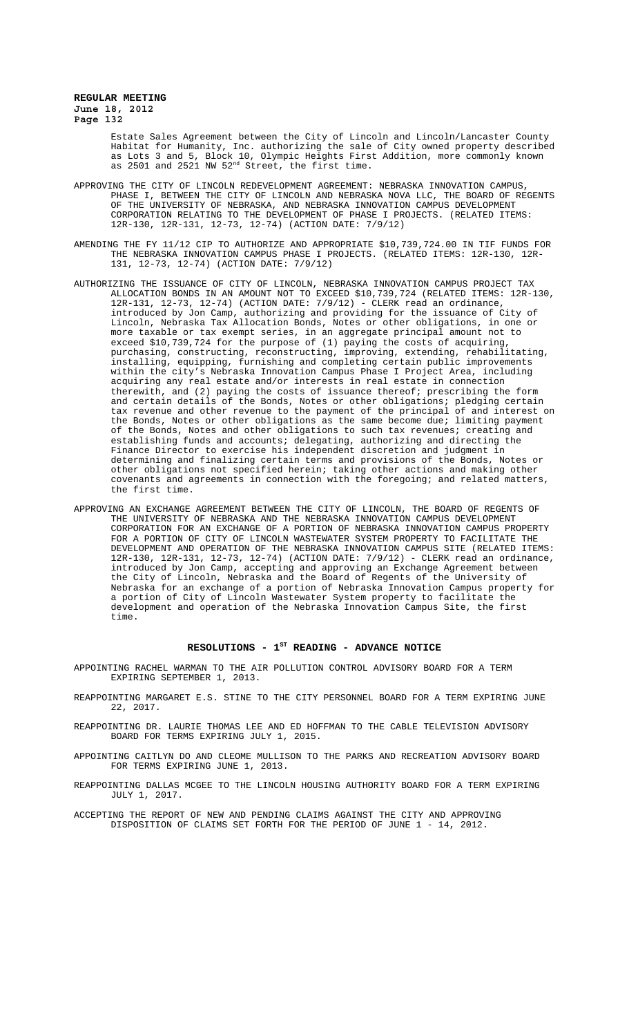> Estate Sales Agreement between the City of Lincoln and Lincoln/Lancaster County Habitat for Humanity, Inc. authorizing the sale of City owned property described as Lots 3 and 5, Block 10, Olympic Heights First Addition, more commonly known as 2501 and 2521 NW 52nd Street, the first time.

- APPROVING THE CITY OF LINCOLN REDEVELOPMENT AGREEMENT: NEBRASKA INNOVATION CAMPUS, PHASE I, BETWEEN THE CITY OF LINCOLN AND NEBRASKA NOVA LLC, THE BOARD OF REGENTS OF THE UNIVERSITY OF NEBRASKA, AND NEBRASKA INNOVATION CAMPUS DEVELOPMENT CORPORATION RELATING TO THE DEVELOPMENT OF PHASE I PROJECTS. (RELATED ITEMS: 12R-130, 12R-131, 12-73, 12-74) (ACTION DATE: 7/9/12)
- AMENDING THE FY 11/12 CIP TO AUTHORIZE AND APPROPRIATE \$10,739,724.00 IN TIF FUNDS FOR THE NEBRASKA INNOVATION CAMPUS PHASE I PROJECTS. (RELATED ITEMS: 12R-130, 12R-131, 12-73, 12-74) (ACTION DATE: 7/9/12)
- AUTHORIZING THE ISSUANCE OF CITY OF LINCOLN, NEBRASKA INNOVATION CAMPUS PROJECT TAX ALLOCATION BONDS IN AN AMOUNT NOT TO EXCEED \$10,739,724 (RELATED ITEMS: 12R-130, 12R-131, 12-73, 12-74) (ACTION DATE: 7/9/12) - CLERK read an ordinance, introduced by Jon Camp, authorizing and providing for the issuance of City of Lincoln, Nebraska Tax Allocation Bonds, Notes or other obligations, in one or more taxable or tax exempt series, in an aggregate principal amount not to exceed \$10,739,724 for the purpose of (1) paying the costs of acquiring, purchasing, constructing, reconstructing, improving, extending, rehabilitating, installing, equipping, furnishing and completing certain public improvements within the city's Nebraska Innovation Campus Phase I Project Area, including acquiring any real estate and/or interests in real estate in connection therewith, and (2) paying the costs of issuance thereof; prescribing the form and certain details of the Bonds, Notes or other obligations; pledging certain tax revenue and other revenue to the payment of the principal of and interest on the Bonds, Notes or other obligations as the same become due; limiting payment of the Bonds, Notes and other obligations to such tax revenues; creating and establishing funds and accounts; delegating, authorizing and directing the Finance Director to exercise his independent discretion and judgment in determining and finalizing certain terms and provisions of the Bonds, Notes or other obligations not specified herein; taking other actions and making other covenants and agreements in connection with the foregoing; and related matters, the first time.
- APPROVING AN EXCHANGE AGREEMENT BETWEEN THE CITY OF LINCOLN, THE BOARD OF REGENTS OF THE UNIVERSITY OF NEBRASKA AND THE NEBRASKA INNOVATION CAMPUS DEVELOPMENT CORPORATION FOR AN EXCHANGE OF A PORTION OF NEBRASKA INNOVATION CAMPUS PROPERTY FOR A PORTION OF CITY OF LINCOLN WASTEWATER SYSTEM PROPERTY TO FACILITATE THE DEVELOPMENT AND OPERATION OF THE NEBRASKA INNOVATION CAMPUS SITE (RELATED ITEMS: 12R-130, 12R-131, 12-73, 12-74) (ACTION DATE: 7/9/12) - CLERK read an ordinance, introduced by Jon Camp, accepting and approving an Exchange Agreement between the City of Lincoln, Nebraska and the Board of Regents of the University of Nebraska for an exchange of a portion of Nebraska Innovation Campus property for a portion of City of Lincoln Wastewater System property to facilitate the development and operation of the Nebraska Innovation Campus Site, the first time.

## **RESOLUTIONS - 1ST READING - ADVANCE NOTICE**

- APPOINTING RACHEL WARMAN TO THE AIR POLLUTION CONTROL ADVISORY BOARD FOR A TERM EXPIRING SEPTEMBER 1, 2013.
- REAPPOINTING MARGARET E.S. STINE TO THE CITY PERSONNEL BOARD FOR A TERM EXPIRING JUNE 22, 2017.
- REAPPOINTING DR. LAURIE THOMAS LEE AND ED HOFFMAN TO THE CABLE TELEVISION ADVISORY BOARD FOR TERMS EXPIRING JULY 1, 2015.
- APPOINTING CAITLYN DO AND CLEOME MULLISON TO THE PARKS AND RECREATION ADVISORY BOARD FOR TERMS EXPIRING JUNE 1, 2013.
- REAPPOINTING DALLAS MCGEE TO THE LINCOLN HOUSING AUTHORITY BOARD FOR A TERM EXPIRING JULY 1, 2017.

ACCEPTING THE REPORT OF NEW AND PENDING CLAIMS AGAINST THE CITY AND APPROVING DISPOSITION OF CLAIMS SET FORTH FOR THE PERIOD OF JUNE 1 - 14, 2012.